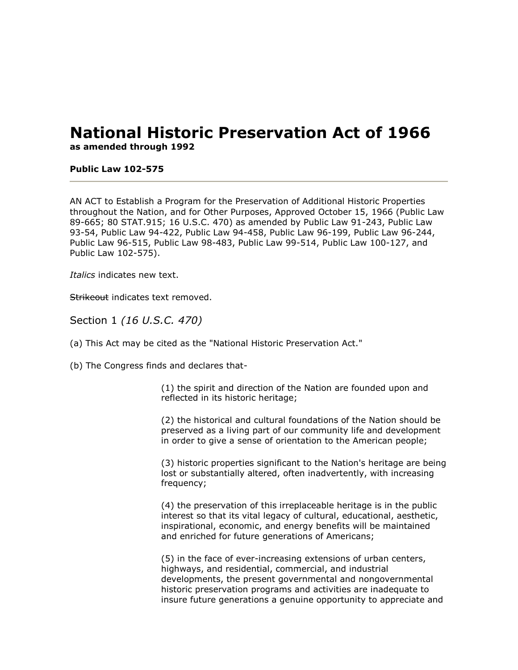# **National Historic Preservation Act of 1966**

**as amended through 1992**

#### **Public Law 102-575**

AN ACT to Establish a Program for the Preservation of Additional Historic Properties throughout the Nation, and for Other Purposes, Approved October 15, 1966 (Public Law 89-665; 80 STAT.915; 16 U.S.C. 470) as amended by Public Law 91-243, Public Law 93-54, Public Law 94-422, Public Law 94-458, Public Law 96-199, Public Law 96-244, Public Law 96-515, Public Law 98-483, Public Law 99-514, Public Law 100-127, and Public Law 102-575).

*Italics* indicates new text.

Strikeout indicates text removed.

Section 1 *(16 U.S.C. 470)*

(a) This Act may be cited as the "National Historic Preservation Act."

(b) The Congress finds and declares that-

(1) the spirit and direction of the Nation are founded upon and reflected in its historic heritage;

(2) the historical and cultural foundations of the Nation should be preserved as a living part of our community life and development in order to give a sense of orientation to the American people;

(3) historic properties significant to the Nation's heritage are being lost or substantially altered, often inadvertently, with increasing frequency;

(4) the preservation of this irreplaceable heritage is in the public interest so that its vital legacy of cultural, educational, aesthetic, inspirational, economic, and energy benefits will be maintained and enriched for future generations of Americans;

(5) in the face of ever-increasing extensions of urban centers, highways, and residential, commercial, and industrial developments, the present governmental and nongovernmental historic preservation programs and activities are inadequate to insure future generations a genuine opportunity to appreciate and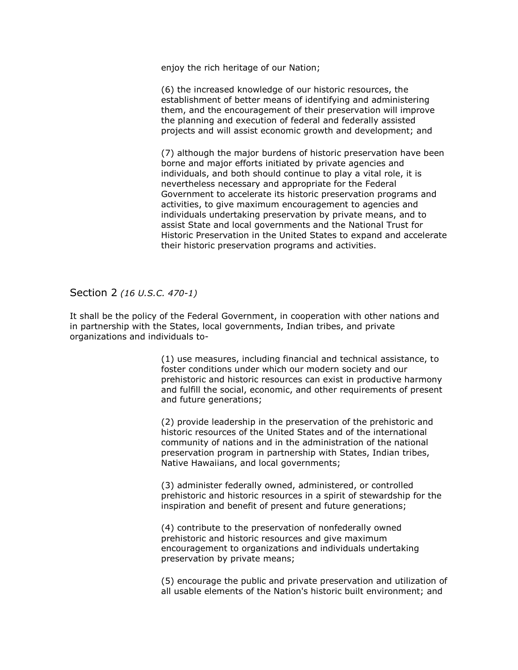enjoy the rich heritage of our Nation;

(6) the increased knowledge of our historic resources, the establishment of better means of identifying and administering them, and the encouragement of their preservation will improve the planning and execution of federal and federally assisted projects and will assist economic growth and development; and

(7) although the major burdens of historic preservation have been borne and major efforts initiated by private agencies and individuals, and both should continue to play a vital role, it is nevertheless necessary and appropriate for the Federal Government to accelerate its historic preservation programs and activities, to give maximum encouragement to agencies and individuals undertaking preservation by private means, and to assist State and local governments and the National Trust for Historic Preservation in the United States to expand and accelerate their historic preservation programs and activities.

Section 2 *(16 U.S.C. 470-1)*

It shall be the policy of the Federal Government, in cooperation with other nations and in partnership with the States, local governments, Indian tribes, and private organizations and individuals to-

> (1) use measures, including financial and technical assistance, to foster conditions under which our modern society and our prehistoric and historic resources can exist in productive harmony and fulfill the social, economic, and other requirements of present and future generations;

(2) provide leadership in the preservation of the prehistoric and historic resources of the United States and of the international community of nations and in the administration of the national preservation program in partnership with States, Indian tribes, Native Hawaiians, and local governments;

(3) administer federally owned, administered, or controlled prehistoric and historic resources in a spirit of stewardship for the inspiration and benefit of present and future generations;

(4) contribute to the preservation of nonfederally owned prehistoric and historic resources and give maximum encouragement to organizations and individuals undertaking preservation by private means;

(5) encourage the public and private preservation and utilization of all usable elements of the Nation's historic built environment; and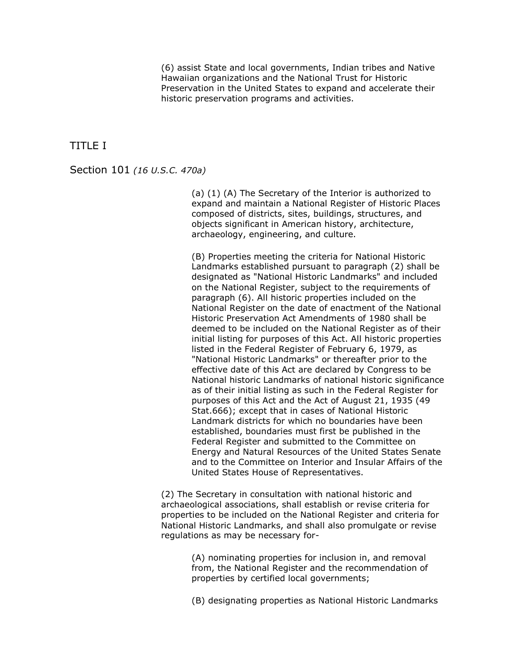(6) assist State and local governments, Indian tribes and Native Hawaiian organizations and the National Trust for Historic Preservation in the United States to expand and accelerate their historic preservation programs and activities.

TITLE I

Section 101 *(16 U.S.C. 470a)*

(a) (1) (A) The Secretary of the Interior is authorized to expand and maintain a National Register of Historic Places composed of districts, sites, buildings, structures, and objects significant in American history, architecture, archaeology, engineering, and culture.

(B) Properties meeting the criteria for National Historic Landmarks established pursuant to paragraph (2) shall be designated as "National Historic Landmarks" and included on the National Register, subject to the requirements of paragraph (6). All historic properties included on the National Register on the date of enactment of the National Historic Preservation Act Amendments of 1980 shall be deemed to be included on the National Register as of their initial listing for purposes of this Act. All historic properties listed in the Federal Register of February 6, 1979, as "National Historic Landmarks" or thereafter prior to the effective date of this Act are declared by Congress to be National historic Landmarks of national historic significance as of their initial listing as such in the Federal Register for purposes of this Act and the Act of August 21, 1935 (49 Stat.666); except that in cases of National Historic Landmark districts for which no boundaries have been established, boundaries must first be published in the Federal Register and submitted to the Committee on Energy and Natural Resources of the United States Senate and to the Committee on Interior and Insular Affairs of the United States House of Representatives.

(2) The Secretary in consultation with national historic and archaeological associations, shall establish or revise criteria for properties to be included on the National Register and criteria for National Historic Landmarks, and shall also promulgate or revise regulations as may be necessary for-

> (A) nominating properties for inclusion in, and removal from, the National Register and the recommendation of properties by certified local governments;

(B) designating properties as National Historic Landmarks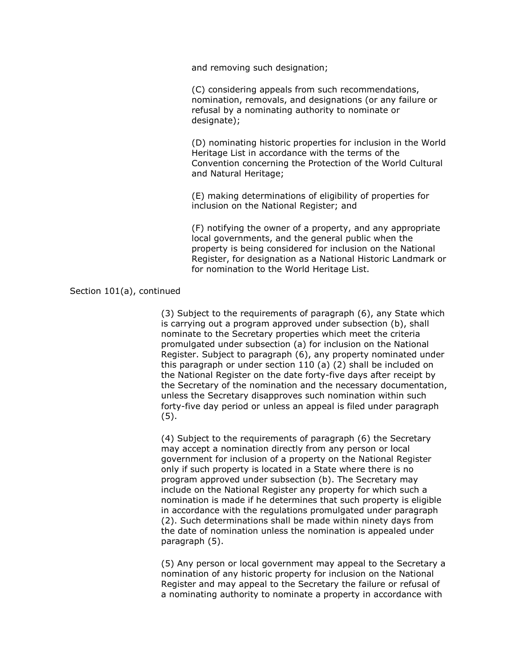and removing such designation;

(C) considering appeals from such recommendations, nomination, removals, and designations (or any failure or refusal by a nominating authority to nominate or designate);

(D) nominating historic properties for inclusion in the World Heritage List in accordance with the terms of the Convention concerning the Protection of the World Cultural and Natural Heritage;

(E) making determinations of eligibility of properties for inclusion on the National Register; and

(F) notifying the owner of a property, and any appropriate local governments, and the general public when the property is being considered for inclusion on the National Register, for designation as a National Historic Landmark or for nomination to the World Heritage List.

#### Section 101(a), continued

(3) Subject to the requirements of paragraph (6), any State which is carrying out a program approved under subsection (b), shall nominate to the Secretary properties which meet the criteria promulgated under subsection (a) for inclusion on the National Register. Subject to paragraph (6), any property nominated under this paragraph or under section 110 (a) (2) shall be included on the National Register on the date forty-five days after receipt by the Secretary of the nomination and the necessary documentation, unless the Secretary disapproves such nomination within such forty-five day period or unless an appeal is filed under paragraph (5).

(4) Subject to the requirements of paragraph (6) the Secretary may accept a nomination directly from any person or local government for inclusion of a property on the National Register only if such property is located in a State where there is no program approved under subsection (b). The Secretary may include on the National Register any property for which such a nomination is made if he determines that such property is eligible in accordance with the regulations promulgated under paragraph (2). Such determinations shall be made within ninety days from the date of nomination unless the nomination is appealed under paragraph (5).

(5) Any person or local government may appeal to the Secretary a nomination of any historic property for inclusion on the National Register and may appeal to the Secretary the failure or refusal of a nominating authority to nominate a property in accordance with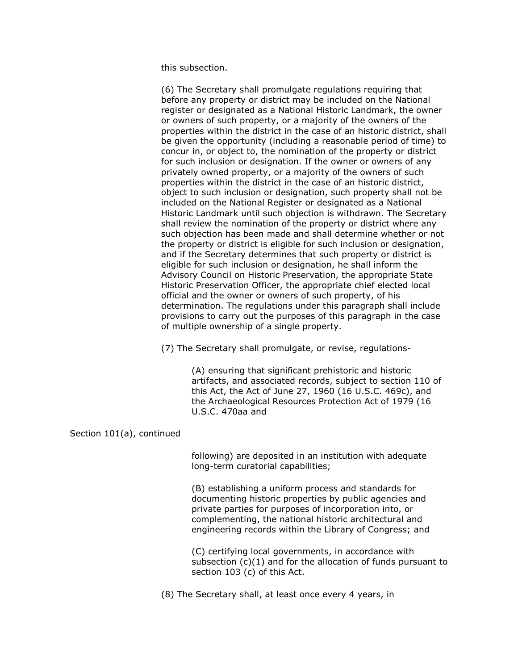this subsection.

(6) The Secretary shall promulgate regulations requiring that before any property or district may be included on the National register or designated as a National Historic Landmark, the owner or owners of such property, or a majority of the owners of the properties within the district in the case of an historic district, shall be given the opportunity (including a reasonable period of time) to concur in, or object to, the nomination of the property or district for such inclusion or designation. If the owner or owners of any privately owned property, or a majority of the owners of such properties within the district in the case of an historic district, object to such inclusion or designation, such property shall not be included on the National Register or designated as a National Historic Landmark until such objection is withdrawn. The Secretary shall review the nomination of the property or district where any such objection has been made and shall determine whether or not the property or district is eligible for such inclusion or designation, and if the Secretary determines that such property or district is eligible for such inclusion or designation, he shall inform the Advisory Council on Historic Preservation, the appropriate State Historic Preservation Officer, the appropriate chief elected local official and the owner or owners of such property, of his determination. The regulations under this paragraph shall include provisions to carry out the purposes of this paragraph in the case of multiple ownership of a single property.

(7) The Secretary shall promulgate, or revise, regulations-

(A) ensuring that significant prehistoric and historic artifacts, and associated records, subject to section 110 of this Act, the Act of June 27, 1960 (16 U.S.C. 469c), and the Archaeological Resources Protection Act of 1979 (16 U.S.C. 470aa and

#### Section 101(a), continued

following) are deposited in an institution with adequate long-term curatorial capabilities;

(B) establishing a uniform process and standards for documenting historic properties by public agencies and private parties for purposes of incorporation into, or complementing, the national historic architectural and engineering records within the Library of Congress; and

(C) certifying local governments, in accordance with subsection (c)(1) and for the allocation of funds pursuant to section 103 (c) of this Act.

(8) The Secretary shall, at least once every 4 years, in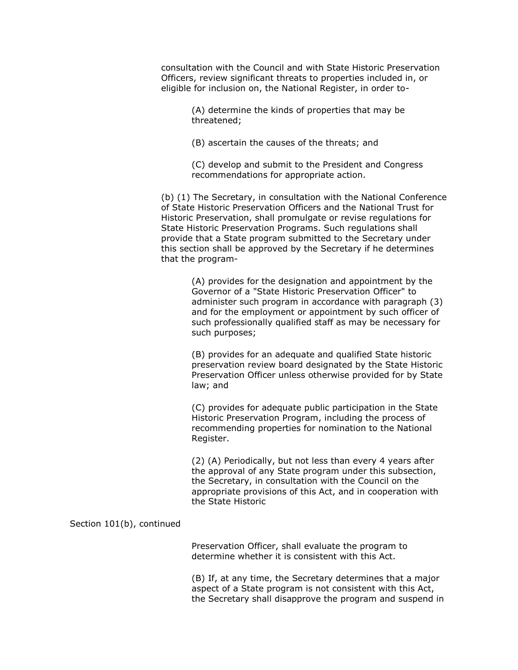consultation with the Council and with State Historic Preservation Officers, review significant threats to properties included in, or eligible for inclusion on, the National Register, in order to-

> (A) determine the kinds of properties that may be threatened;

(B) ascertain the causes of the threats; and

(C) develop and submit to the President and Congress recommendations for appropriate action.

(b) (1) The Secretary, in consultation with the National Conference of State Historic Preservation Officers and the National Trust for Historic Preservation, shall promulgate or revise regulations for State Historic Preservation Programs. Such regulations shall provide that a State program submitted to the Secretary under this section shall be approved by the Secretary if he determines that the program-

> (A) provides for the designation and appointment by the Governor of a "State Historic Preservation Officer" to administer such program in accordance with paragraph (3) and for the employment or appointment by such officer of such professionally qualified staff as may be necessary for such purposes;

> (B) provides for an adequate and qualified State historic preservation review board designated by the State Historic Preservation Officer unless otherwise provided for by State law; and

(C) provides for adequate public participation in the State Historic Preservation Program, including the process of recommending properties for nomination to the National Register.

(2) (A) Periodically, but not less than every 4 years after the approval of any State program under this subsection, the Secretary, in consultation with the Council on the appropriate provisions of this Act, and in cooperation with the State Historic

Section 101(b), continued

Preservation Officer, shall evaluate the program to determine whether it is consistent with this Act.

(B) If, at any time, the Secretary determines that a major aspect of a State program is not consistent with this Act, the Secretary shall disapprove the program and suspend in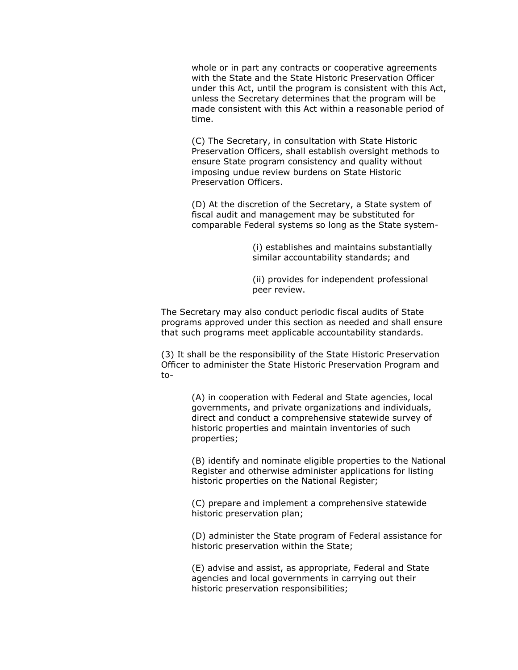whole or in part any contracts or cooperative agreements with the State and the State Historic Preservation Officer under this Act, until the program is consistent with this Act, unless the Secretary determines that the program will be made consistent with this Act within a reasonable period of time.

(C) The Secretary, in consultation with State Historic Preservation Officers, shall establish oversight methods to ensure State program consistency and quality without imposing undue review burdens on State Historic Preservation Officers.

(D) At the discretion of the Secretary, a State system of fiscal audit and management may be substituted for comparable Federal systems so long as the State system-

> (i) establishes and maintains substantially similar accountability standards; and

(ii) provides for independent professional peer review.

The Secretary may also conduct periodic fiscal audits of State programs approved under this section as needed and shall ensure that such programs meet applicable accountability standards.

(3) It shall be the responsibility of the State Historic Preservation Officer to administer the State Historic Preservation Program and to-

> (A) in cooperation with Federal and State agencies, local governments, and private organizations and individuals, direct and conduct a comprehensive statewide survey of historic properties and maintain inventories of such properties;

(B) identify and nominate eligible properties to the National Register and otherwise administer applications for listing historic properties on the National Register;

(C) prepare and implement a comprehensive statewide historic preservation plan;

(D) administer the State program of Federal assistance for historic preservation within the State;

(E) advise and assist, as appropriate, Federal and State agencies and local governments in carrying out their historic preservation responsibilities;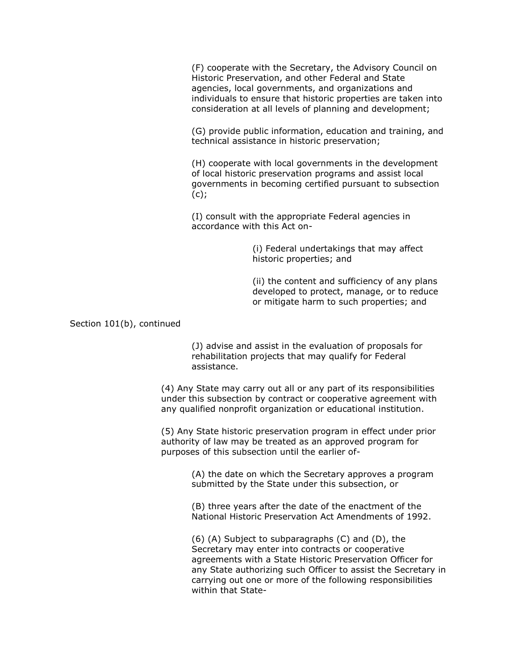(F) cooperate with the Secretary, the Advisory Council on Historic Preservation, and other Federal and State agencies, local governments, and organizations and individuals to ensure that historic properties are taken into consideration at all levels of planning and development;

(G) provide public information, education and training, and technical assistance in historic preservation;

(H) cooperate with local governments in the development of local historic preservation programs and assist local governments in becoming certified pursuant to subsection  $(c)$ ;

(I) consult with the appropriate Federal agencies in accordance with this Act on-

> (i) Federal undertakings that may affect historic properties; and

(ii) the content and sufficiency of any plans developed to protect, manage, or to reduce or mitigate harm to such properties; and

Section 101(b), continued

(J) advise and assist in the evaluation of proposals for rehabilitation projects that may qualify for Federal assistance.

(4) Any State may carry out all or any part of its responsibilities under this subsection by contract or cooperative agreement with any qualified nonprofit organization or educational institution.

(5) Any State historic preservation program in effect under prior authority of law may be treated as an approved program for purposes of this subsection until the earlier of-

> (A) the date on which the Secretary approves a program submitted by the State under this subsection, or

(B) three years after the date of the enactment of the National Historic Preservation Act Amendments of 1992.

(6) (A) Subject to subparagraphs (C) and (D), the Secretary may enter into contracts or cooperative agreements with a State Historic Preservation Officer for any State authorizing such Officer to assist the Secretary in carrying out one or more of the following responsibilities within that State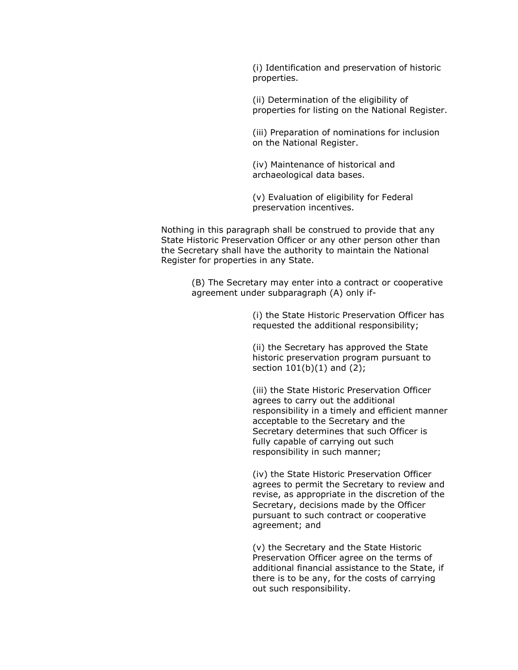(i) Identification and preservation of historic properties.

(ii) Determination of the eligibility of properties for listing on the National Register.

(iii) Preparation of nominations for inclusion on the National Register.

(iv) Maintenance of historical and archaeological data bases.

(v) Evaluation of eligibility for Federal preservation incentives.

Nothing in this paragraph shall be construed to provide that any State Historic Preservation Officer or any other person other than the Secretary shall have the authority to maintain the National Register for properties in any State.

> (B) The Secretary may enter into a contract or cooperative agreement under subparagraph (A) only if-

> > (i) the State Historic Preservation Officer has requested the additional responsibility;

(ii) the Secretary has approved the State historic preservation program pursuant to section  $101(b)(1)$  and  $(2)$ ;

(iii) the State Historic Preservation Officer agrees to carry out the additional responsibility in a timely and efficient manner acceptable to the Secretary and the Secretary determines that such Officer is fully capable of carrying out such responsibility in such manner;

(iv) the State Historic Preservation Officer agrees to permit the Secretary to review and revise, as appropriate in the discretion of the Secretary, decisions made by the Officer pursuant to such contract or cooperative agreement; and

(v) the Secretary and the State Historic Preservation Officer agree on the terms of additional financial assistance to the State, if there is to be any, for the costs of carrying out such responsibility.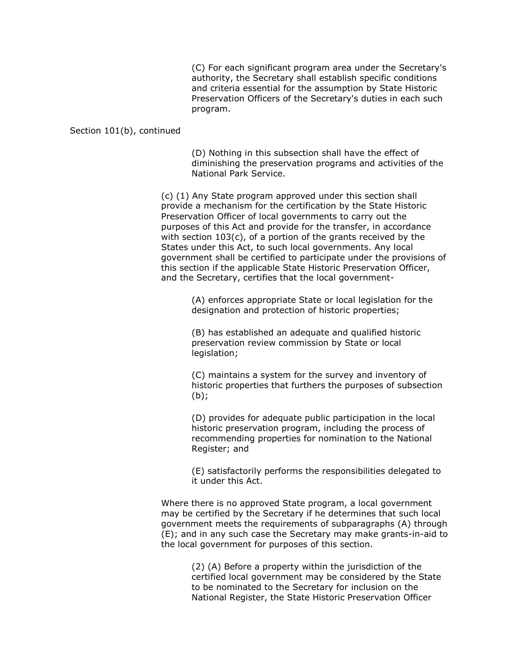(C) For each significant program area under the Secretary's authority, the Secretary shall establish specific conditions and criteria essential for the assumption by State Historic Preservation Officers of the Secretary's duties in each such program.

#### Section 101(b), continued

(D) Nothing in this subsection shall have the effect of diminishing the preservation programs and activities of the National Park Service.

(c) (1) Any State program approved under this section shall provide a mechanism for the certification by the State Historic Preservation Officer of local governments to carry out the purposes of this Act and provide for the transfer, in accordance with section 103(c), of a portion of the grants received by the States under this Act, to such local governments. Any local government shall be certified to participate under the provisions of this section if the applicable State Historic Preservation Officer, and the Secretary, certifies that the local government-

> (A) enforces appropriate State or local legislation for the designation and protection of historic properties;

(B) has established an adequate and qualified historic preservation review commission by State or local legislation;

(C) maintains a system for the survey and inventory of historic properties that furthers the purposes of subsection (b);

(D) provides for adequate public participation in the local historic preservation program, including the process of recommending properties for nomination to the National Register; and

(E) satisfactorily performs the responsibilities delegated to it under this Act.

Where there is no approved State program, a local government may be certified by the Secretary if he determines that such local government meets the requirements of subparagraphs (A) through (E); and in any such case the Secretary may make grants-in-aid to the local government for purposes of this section.

> (2) (A) Before a property within the jurisdiction of the certified local government may be considered by the State to be nominated to the Secretary for inclusion on the National Register, the State Historic Preservation Officer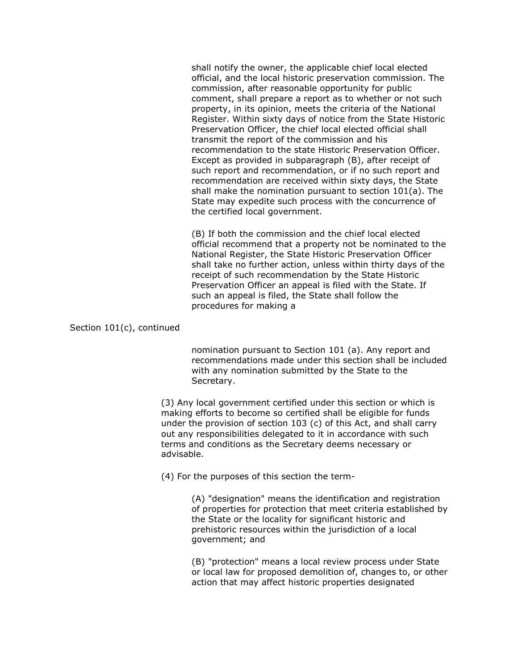shall notify the owner, the applicable chief local elected official, and the local historic preservation commission. The commission, after reasonable opportunity for public comment, shall prepare a report as to whether or not such property, in its opinion, meets the criteria of the National Register. Within sixty days of notice from the State Historic Preservation Officer, the chief local elected official shall transmit the report of the commission and his recommendation to the state Historic Preservation Officer. Except as provided in subparagraph (B), after receipt of such report and recommendation, or if no such report and recommendation are received within sixty days, the State shall make the nomination pursuant to section 101(a). The State may expedite such process with the concurrence of the certified local government.

(B) If both the commission and the chief local elected official recommend that a property not be nominated to the National Register, the State Historic Preservation Officer shall take no further action, unless within thirty days of the receipt of such recommendation by the State Historic Preservation Officer an appeal is filed with the State. If such an appeal is filed, the State shall follow the procedures for making a

#### Section 101(c), continued

nomination pursuant to Section 101 (a). Any report and recommendations made under this section shall be included with any nomination submitted by the State to the Secretary.

(3) Any local government certified under this section or which is making efforts to become so certified shall be eligible for funds under the provision of section 103 (c) of this Act, and shall carry out any responsibilities delegated to it in accordance with such terms and conditions as the Secretary deems necessary or advisable.

(4) For the purposes of this section the term-

(A) "designation" means the identification and registration of properties for protection that meet criteria established by the State or the locality for significant historic and prehistoric resources within the jurisdiction of a local government; and

(B) "protection" means a local review process under State or local law for proposed demolition of, changes to, or other action that may affect historic properties designated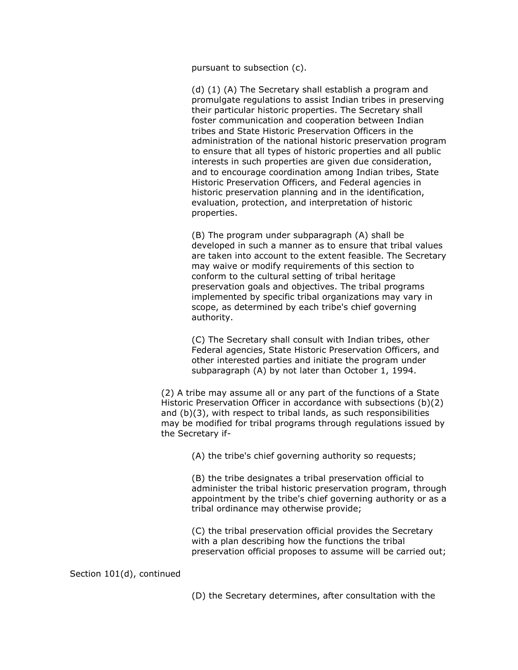pursuant to subsection (c).

(d) (1) (A) The Secretary shall establish a program and promulgate regulations to assist Indian tribes in preserving their particular historic properties. The Secretary shall foster communication and cooperation between Indian tribes and State Historic Preservation Officers in the administration of the national historic preservation program to ensure that all types of historic properties and all public interests in such properties are given due consideration, and to encourage coordination among Indian tribes, State Historic Preservation Officers, and Federal agencies in historic preservation planning and in the identification, evaluation, protection, and interpretation of historic properties.

(B) The program under subparagraph (A) shall be developed in such a manner as to ensure that tribal values are taken into account to the extent feasible. The Secretary may waive or modify requirements of this section to conform to the cultural setting of tribal heritage preservation goals and objectives. The tribal programs implemented by specific tribal organizations may vary in scope, as determined by each tribe's chief governing authority.

(C) The Secretary shall consult with Indian tribes, other Federal agencies, State Historic Preservation Officers, and other interested parties and initiate the program under subparagraph (A) by not later than October 1, 1994.

(2) A tribe may assume all or any part of the functions of a State Historic Preservation Officer in accordance with subsections (b)(2) and (b)(3), with respect to tribal lands, as such responsibilities may be modified for tribal programs through regulations issued by the Secretary if-

(A) the tribe's chief governing authority so requests;

(B) the tribe designates a tribal preservation official to administer the tribal historic preservation program, through appointment by the tribe's chief governing authority or as a tribal ordinance may otherwise provide;

(C) the tribal preservation official provides the Secretary with a plan describing how the functions the tribal preservation official proposes to assume will be carried out;

Section 101(d), continued

(D) the Secretary determines, after consultation with the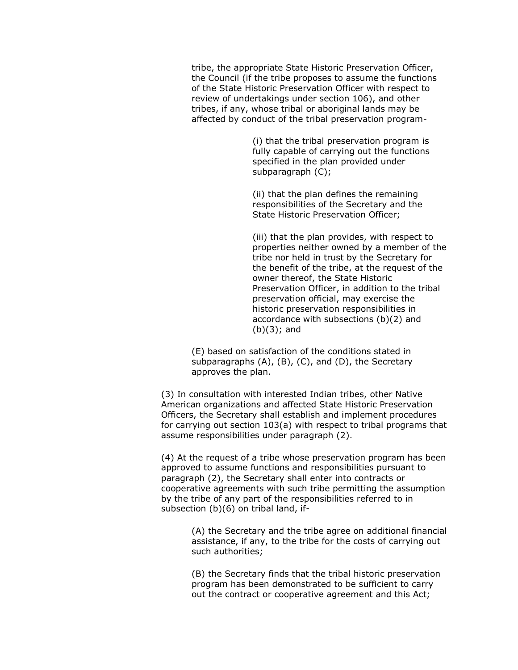tribe, the appropriate State Historic Preservation Officer, the Council (if the tribe proposes to assume the functions of the State Historic Preservation Officer with respect to review of undertakings under section 106), and other tribes, if any, whose tribal or aboriginal lands may be affected by conduct of the tribal preservation program-

> (i) that the tribal preservation program is fully capable of carrying out the functions specified in the plan provided under subparagraph (C);

(ii) that the plan defines the remaining responsibilities of the Secretary and the State Historic Preservation Officer;

(iii) that the plan provides, with respect to properties neither owned by a member of the tribe nor held in trust by the Secretary for the benefit of the tribe, at the request of the owner thereof, the State Historic Preservation Officer, in addition to the tribal preservation official, may exercise the historic preservation responsibilities in accordance with subsections (b)(2) and (b)(3); and

(E) based on satisfaction of the conditions stated in subparagraphs (A), (B), (C), and (D), the Secretary approves the plan.

(3) In consultation with interested Indian tribes, other Native American organizations and affected State Historic Preservation Officers, the Secretary shall establish and implement procedures for carrying out section 103(a) with respect to tribal programs that assume responsibilities under paragraph (2).

(4) At the request of a tribe whose preservation program has been approved to assume functions and responsibilities pursuant to paragraph (2), the Secretary shall enter into contracts or cooperative agreements with such tribe permitting the assumption by the tribe of any part of the responsibilities referred to in subsection (b)(6) on tribal land, if-

> (A) the Secretary and the tribe agree on additional financial assistance, if any, to the tribe for the costs of carrying out such authorities;

(B) the Secretary finds that the tribal historic preservation program has been demonstrated to be sufficient to carry out the contract or cooperative agreement and this Act;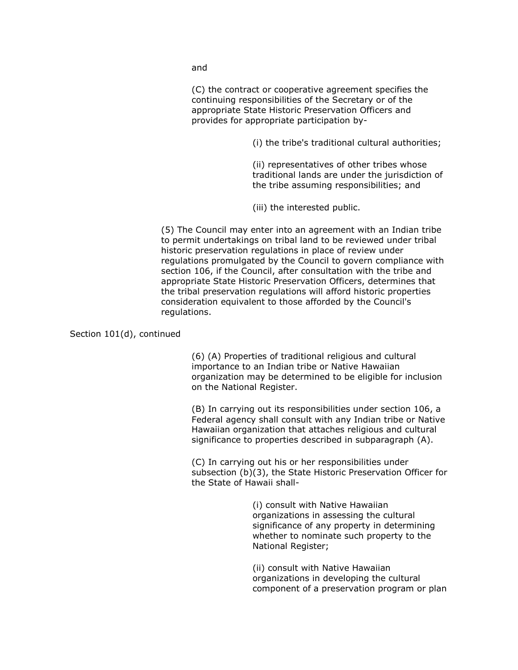and

(C) the contract or cooperative agreement specifies the continuing responsibilities of the Secretary or of the appropriate State Historic Preservation Officers and provides for appropriate participation by-

(i) the tribe's traditional cultural authorities;

(ii) representatives of other tribes whose traditional lands are under the jurisdiction of the tribe assuming responsibilities; and

(iii) the interested public.

(5) The Council may enter into an agreement with an Indian tribe to permit undertakings on tribal land to be reviewed under tribal historic preservation regulations in place of review under regulations promulgated by the Council to govern compliance with section 106, if the Council, after consultation with the tribe and appropriate State Historic Preservation Officers, determines that the tribal preservation regulations will afford historic properties consideration equivalent to those afforded by the Council's regulations.

Section 101(d), continued

(6) (A) Properties of traditional religious and cultural importance to an Indian tribe or Native Hawaiian organization may be determined to be eligible for inclusion on the National Register.

(B) In carrying out its responsibilities under section 106, a Federal agency shall consult with any Indian tribe or Native Hawaiian organization that attaches religious and cultural significance to properties described in subparagraph (A).

(C) In carrying out his or her responsibilities under subsection (b)(3), the State Historic Preservation Officer for the State of Hawaii shall-

> (i) consult with Native Hawaiian organizations in assessing the cultural significance of any property in determining whether to nominate such property to the National Register;

(ii) consult with Native Hawaiian organizations in developing the cultural component of a preservation program or plan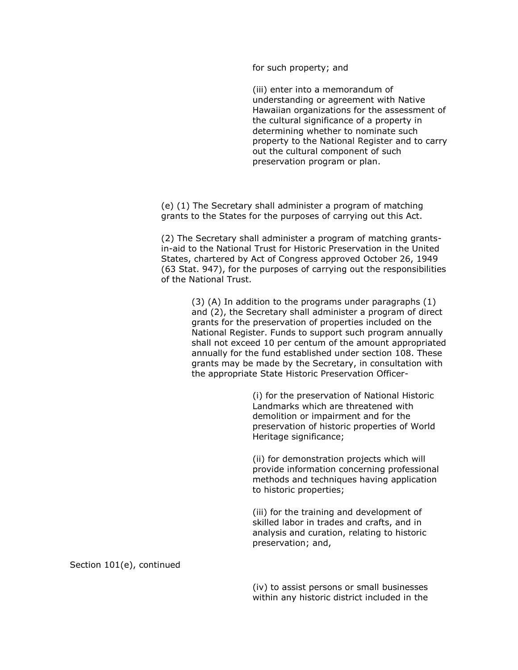for such property; and

(iii) enter into a memorandum of understanding or agreement with Native Hawaiian organizations for the assessment of the cultural significance of a property in determining whether to nominate such property to the National Register and to carry out the cultural component of such preservation program or plan.

(e) (1) The Secretary shall administer a program of matching grants to the States for the purposes of carrying out this Act.

(2) The Secretary shall administer a program of matching grantsin-aid to the National Trust for Historic Preservation in the United States, chartered by Act of Congress approved October 26, 1949 (63 Stat. 947), for the purposes of carrying out the responsibilities of the National Trust.

> (3) (A) In addition to the programs under paragraphs (1) and (2), the Secretary shall administer a program of direct grants for the preservation of properties included on the National Register. Funds to support such program annually shall not exceed 10 per centum of the amount appropriated annually for the fund established under section 108. These grants may be made by the Secretary, in consultation with the appropriate State Historic Preservation Officer-

> > (i) for the preservation of National Historic Landmarks which are threatened with demolition or impairment and for the preservation of historic properties of World Heritage significance;

(ii) for demonstration projects which will provide information concerning professional methods and techniques having application to historic properties;

(iii) for the training and development of skilled labor in trades and crafts, and in analysis and curation, relating to historic preservation; and,

Section 101(e), continued

(iv) to assist persons or small businesses within any historic district included in the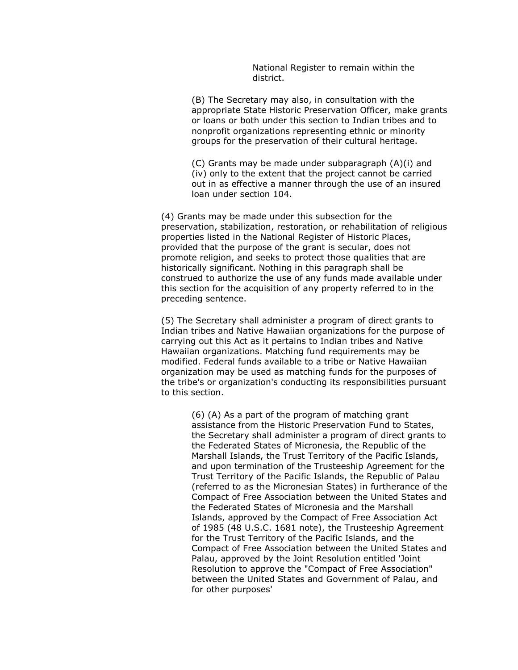National Register to remain within the district.

(B) The Secretary may also, in consultation with the appropriate State Historic Preservation Officer, make grants or loans or both under this section to Indian tribes and to nonprofit organizations representing ethnic or minority groups for the preservation of their cultural heritage.

(C) Grants may be made under subparagraph (A)(i) and (iv) only to the extent that the project cannot be carried out in as effective a manner through the use of an insured loan under section 104.

(4) Grants may be made under this subsection for the preservation, stabilization, restoration, or rehabilitation of religious properties listed in the National Register of Historic Places, provided that the purpose of the grant is secular, does not promote religion, and seeks to protect those qualities that are historically significant. Nothing in this paragraph shall be construed to authorize the use of any funds made available under this section for the acquisition of any property referred to in the preceding sentence.

(5) The Secretary shall administer a program of direct grants to Indian tribes and Native Hawaiian organizations for the purpose of carrying out this Act as it pertains to Indian tribes and Native Hawaiian organizations. Matching fund requirements may be modified. Federal funds available to a tribe or Native Hawaiian organization may be used as matching funds for the purposes of the tribe's or organization's conducting its responsibilities pursuant to this section.

> (6) (A) As a part of the program of matching grant assistance from the Historic Preservation Fund to States, the Secretary shall administer a program of direct grants to the Federated States of Micronesia, the Republic of the Marshall Islands, the Trust Territory of the Pacific Islands, and upon termination of the Trusteeship Agreement for the Trust Territory of the Pacific Islands, the Republic of Palau (referred to as the Micronesian States) in furtherance of the Compact of Free Association between the United States and the Federated States of Micronesia and the Marshall Islands, approved by the Compact of Free Association Act of 1985 (48 U.S.C. 1681 note), the Trusteeship Agreement for the Trust Territory of the Pacific Islands, and the Compact of Free Association between the United States and Palau, approved by the Joint Resolution entitled 'Joint Resolution to approve the "Compact of Free Association" between the United States and Government of Palau, and for other purposes'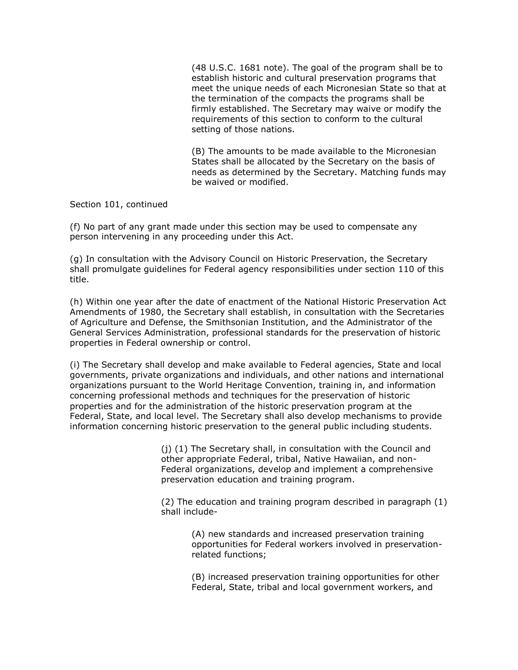(48 U.S.C. 1681 note). The goal of the program shall be to establish historic and cultural preservation programs that meet the unique needs of each Micronesian State so that at the termination of the compacts the programs shall be firmly established. The Secretary may waive or modify the requirements of this section to conform to the cultural setting of those nations.

(B) The amounts to be made available to the Micronesian States shall be allocated by the Secretary on the basis of needs as determined by the Secretary. Matching funds may be waived or modified.

Section 101, continued

(f) No part of any grant made under this section may be used to compensate any person intervening in any proceeding under this Act.

(g) In consultation with the Advisory Council on Historic Preservation, the Secretary shall promulgate guidelines for Federal agency responsibilities under section 110 of this title.

(h) Within one year after the date of enactment of the National Historic Preservation Act Amendments of 1980, the Secretary shall establish, in consultation with the Secretaries of Agriculture and Defense, the Smithsonian Institution, and the Administrator of the General Services Administration, professional standards for the preservation of historic properties in Federal ownership or control.

(i) The Secretary shall develop and make available to Federal agencies, State and local governments, private organizations and individuals, and other nations and international organizations pursuant to the World Heritage Convention, training in, and information concerning professional methods and techniques for the preservation of historic properties and for the administration of the historic preservation program at the Federal, State, and local level. The Secretary shall also develop mechanisms to provide information concerning historic preservation to the general public including students.

> (j) (1) The Secretary shall, in consultation with the Council and other appropriate Federal, tribal, Native Hawaiian, and non-Federal organizations, develop and implement a comprehensive preservation education and training program.

(2) The education and training program described in paragraph (1) shall include-

> (A) new standards and increased preservation training opportunities for Federal workers involved in preservationrelated functions;

> (B) increased preservation training opportunities for other Federal, State, tribal and local government workers, and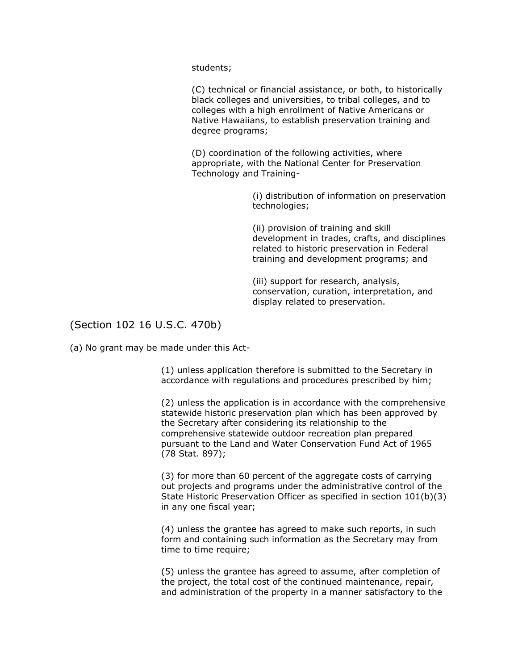students;

(C) technical or financial assistance, or both, to historically black colleges and universities, to tribal colleges, and to colleges with a high enrollment of Native Americans or Native Hawaiians, to establish preservation training and degree programs;

(D) coordination of the following activities, where appropriate, with the National Center for Preservation Technology and Training-

> (i) distribution of information on preservation technologies;

> (ii) provision of training and skill development in trades, crafts, and disciplines related to historic preservation in Federal training and development programs; and

(iii) support for research, analysis, conservation, curation, interpretation, and display related to preservation.

## (Section 102 16 U.S.C. 470b)

(a) No grant may be made under this Act-

(1) unless application therefore is submitted to the Secretary in accordance with regulations and procedures prescribed by him;

(2) unless the application is in accordance with the comprehensive statewide historic preservation plan which has been approved by the Secretary after considering its relationship to the comprehensive statewide outdoor recreation plan prepared pursuant to the Land and Water Conservation Fund Act of 1965 (78 Stat. 897);

(3) for more than 60 percent of the aggregate costs of carrying out projects and programs under the administrative control of the State Historic Preservation Officer as specified in section 101(b)(3) in any one fiscal year;

(4) unless the grantee has agreed to make such reports, in such form and containing such information as the Secretary may from time to time require;

(5) unless the grantee has agreed to assume, after completion of the project, the total cost of the continued maintenance, repair, and administration of the property in a manner satisfactory to the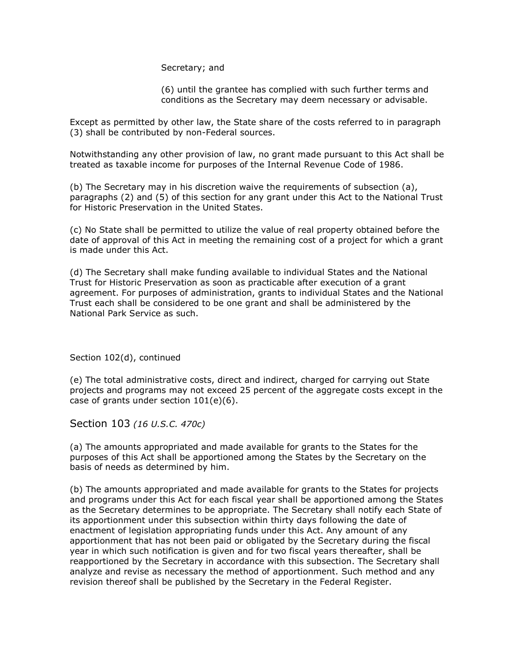Secretary; and

(6) until the grantee has complied with such further terms and conditions as the Secretary may deem necessary or advisable.

Except as permitted by other law, the State share of the costs referred to in paragraph (3) shall be contributed by non-Federal sources.

Notwithstanding any other provision of law, no grant made pursuant to this Act shall be treated as taxable income for purposes of the Internal Revenue Code of 1986.

(b) The Secretary may in his discretion waive the requirements of subsection (a), paragraphs (2) and (5) of this section for any grant under this Act to the National Trust for Historic Preservation in the United States.

(c) No State shall be permitted to utilize the value of real property obtained before the date of approval of this Act in meeting the remaining cost of a project for which a grant is made under this Act.

(d) The Secretary shall make funding available to individual States and the National Trust for Historic Preservation as soon as practicable after execution of a grant agreement. For purposes of administration, grants to individual States and the National Trust each shall be considered to be one grant and shall be administered by the National Park Service as such.

Section 102(d), continued

(e) The total administrative costs, direct and indirect, charged for carrying out State projects and programs may not exceed 25 percent of the aggregate costs except in the case of grants under section 101(e)(6).

Section 103 *(16 U.S.C. 470c)*

(a) The amounts appropriated and made available for grants to the States for the purposes of this Act shall be apportioned among the States by the Secretary on the basis of needs as determined by him.

(b) The amounts appropriated and made available for grants to the States for projects and programs under this Act for each fiscal year shall be apportioned among the States as the Secretary determines to be appropriate. The Secretary shall notify each State of its apportionment under this subsection within thirty days following the date of enactment of legislation appropriating funds under this Act. Any amount of any apportionment that has not been paid or obligated by the Secretary during the fiscal year in which such notification is given and for two fiscal years thereafter, shall be reapportioned by the Secretary in accordance with this subsection. The Secretary shall analyze and revise as necessary the method of apportionment. Such method and any revision thereof shall be published by the Secretary in the Federal Register.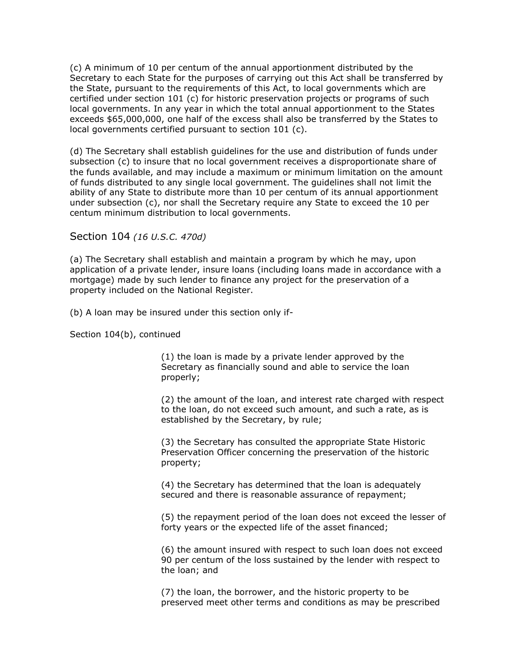(c) A minimum of 10 per centum of the annual apportionment distributed by the Secretary to each State for the purposes of carrying out this Act shall be transferred by the State, pursuant to the requirements of this Act, to local governments which are certified under section 101 (c) for historic preservation projects or programs of such local governments. In any year in which the total annual apportionment to the States exceeds \$65,000,000, one half of the excess shall also be transferred by the States to local governments certified pursuant to section 101 (c).

(d) The Secretary shall establish guidelines for the use and distribution of funds under subsection (c) to insure that no local government receives a disproportionate share of the funds available, and may include a maximum or minimum limitation on the amount of funds distributed to any single local government. The guidelines shall not limit the ability of any State to distribute more than 10 per centum of its annual apportionment under subsection (c), nor shall the Secretary require any State to exceed the 10 per centum minimum distribution to local governments.

Section 104 *(16 U.S.C. 470d)*

(a) The Secretary shall establish and maintain a program by which he may, upon application of a private lender, insure loans (including loans made in accordance with a mortgage) made by such lender to finance any project for the preservation of a property included on the National Register.

(b) A loan may be insured under this section only if-

Section 104(b), continued

(1) the loan is made by a private lender approved by the Secretary as financially sound and able to service the loan properly;

(2) the amount of the loan, and interest rate charged with respect to the loan, do not exceed such amount, and such a rate, as is established by the Secretary, by rule;

(3) the Secretary has consulted the appropriate State Historic Preservation Officer concerning the preservation of the historic property;

(4) the Secretary has determined that the loan is adequately secured and there is reasonable assurance of repayment;

(5) the repayment period of the loan does not exceed the lesser of forty years or the expected life of the asset financed;

(6) the amount insured with respect to such loan does not exceed 90 per centum of the loss sustained by the lender with respect to the loan; and

(7) the loan, the borrower, and the historic property to be preserved meet other terms and conditions as may be prescribed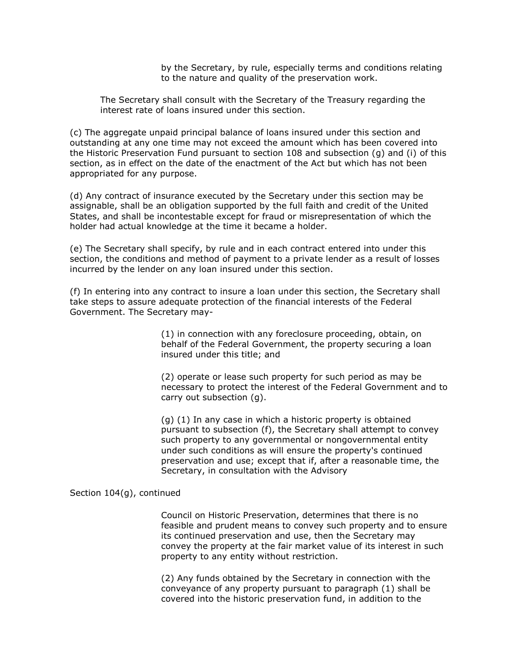by the Secretary, by rule, especially terms and conditions relating to the nature and quality of the preservation work.

The Secretary shall consult with the Secretary of the Treasury regarding the interest rate of loans insured under this section.

(c) The aggregate unpaid principal balance of loans insured under this section and outstanding at any one time may not exceed the amount which has been covered into the Historic Preservation Fund pursuant to section 108 and subsection (g) and (i) of this section, as in effect on the date of the enactment of the Act but which has not been appropriated for any purpose.

(d) Any contract of insurance executed by the Secretary under this section may be assignable, shall be an obligation supported by the full faith and credit of the United States, and shall be incontestable except for fraud or misrepresentation of which the holder had actual knowledge at the time it became a holder.

(e) The Secretary shall specify, by rule and in each contract entered into under this section, the conditions and method of payment to a private lender as a result of losses incurred by the lender on any loan insured under this section.

(f) In entering into any contract to insure a loan under this section, the Secretary shall take steps to assure adequate protection of the financial interests of the Federal Government. The Secretary may-

> (1) in connection with any foreclosure proceeding, obtain, on behalf of the Federal Government, the property securing a loan insured under this title; and

(2) operate or lease such property for such period as may be necessary to protect the interest of the Federal Government and to carry out subsection (g).

(g) (1) In any case in which a historic property is obtained pursuant to subsection (f), the Secretary shall attempt to convey such property to any governmental or nongovernmental entity under such conditions as will ensure the property's continued preservation and use; except that if, after a reasonable time, the Secretary, in consultation with the Advisory

Section 104(g), continued

Council on Historic Preservation, determines that there is no feasible and prudent means to convey such property and to ensure its continued preservation and use, then the Secretary may convey the property at the fair market value of its interest in such property to any entity without restriction.

(2) Any funds obtained by the Secretary in connection with the conveyance of any property pursuant to paragraph (1) shall be covered into the historic preservation fund, in addition to the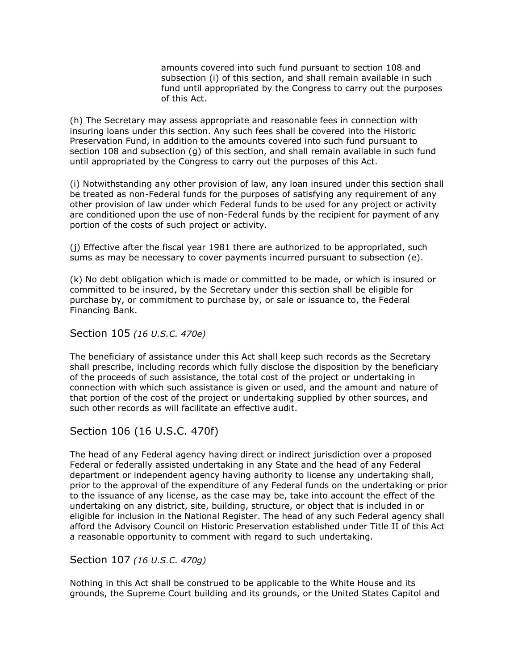amounts covered into such fund pursuant to section 108 and subsection (i) of this section, and shall remain available in such fund until appropriated by the Congress to carry out the purposes of this Act.

(h) The Secretary may assess appropriate and reasonable fees in connection with insuring loans under this section. Any such fees shall be covered into the Historic Preservation Fund, in addition to the amounts covered into such fund pursuant to section 108 and subsection (g) of this section, and shall remain available in such fund until appropriated by the Congress to carry out the purposes of this Act.

(i) Notwithstanding any other provision of law, any loan insured under this section shall be treated as non-Federal funds for the purposes of satisfying any requirement of any other provision of law under which Federal funds to be used for any project or activity are conditioned upon the use of non-Federal funds by the recipient for payment of any portion of the costs of such project or activity.

(j) Effective after the fiscal year 1981 there are authorized to be appropriated, such sums as may be necessary to cover payments incurred pursuant to subsection (e).

(k) No debt obligation which is made or committed to be made, or which is insured or committed to be insured, by the Secretary under this section shall be eligible for purchase by, or commitment to purchase by, or sale or issuance to, the Federal Financing Bank.

Section 105 *(16 U.S.C. 470e)*

The beneficiary of assistance under this Act shall keep such records as the Secretary shall prescribe, including records which fully disclose the disposition by the beneficiary of the proceeds of such assistance, the total cost of the project or undertaking in connection with which such assistance is given or used, and the amount and nature of that portion of the cost of the project or undertaking supplied by other sources, and such other records as will facilitate an effective audit.

## Section 106 (16 U.S.C. 470f)

The head of any Federal agency having direct or indirect jurisdiction over a proposed Federal or federally assisted undertaking in any State and the head of any Federal department or independent agency having authority to license any undertaking shall, prior to the approval of the expenditure of any Federal funds on the undertaking or prior to the issuance of any license, as the case may be, take into account the effect of the undertaking on any district, site, building, structure, or object that is included in or eligible for inclusion in the National Register. The head of any such Federal agency shall afford the Advisory Council on Historic Preservation established under Title II of this Act a reasonable opportunity to comment with regard to such undertaking.

Section 107 *(16 U.S.C. 470g)*

Nothing in this Act shall be construed to be applicable to the White House and its grounds, the Supreme Court building and its grounds, or the United States Capitol and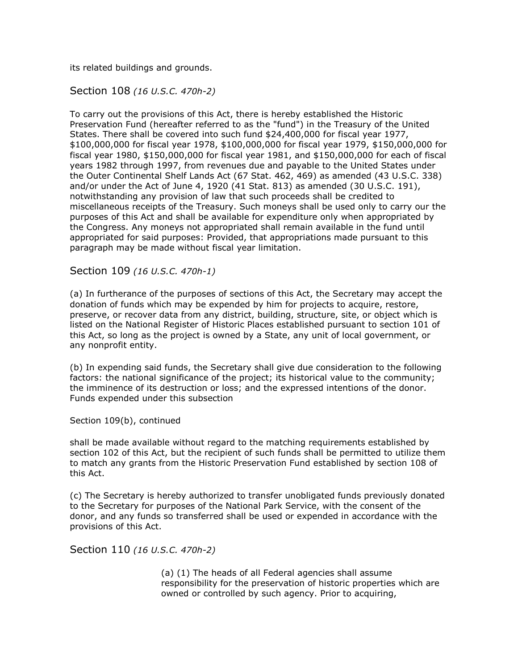its related buildings and grounds.

## Section 108 *(16 U.S.C. 470h-2)*

To carry out the provisions of this Act, there is hereby established the Historic Preservation Fund (hereafter referred to as the "fund") in the Treasury of the United States. There shall be covered into such fund \$24,400,000 for fiscal year 1977, \$100,000,000 for fiscal year 1978, \$100,000,000 for fiscal year 1979, \$150,000,000 for fiscal year 1980, \$150,000,000 for fiscal year 1981, and \$150,000,000 for each of fiscal years 1982 through 1997, from revenues due and payable to the United States under the Outer Continental Shelf Lands Act (67 Stat. 462, 469) as amended (43 U.S.C. 338) and/or under the Act of June 4, 1920 (41 Stat. 813) as amended (30 U.S.C. 191), notwithstanding any provision of law that such proceeds shall be credited to miscellaneous receipts of the Treasury. Such moneys shall be used only to carry our the purposes of this Act and shall be available for expenditure only when appropriated by the Congress. Any moneys not appropriated shall remain available in the fund until appropriated for said purposes: Provided, that appropriations made pursuant to this paragraph may be made without fiscal year limitation.

## Section 109 *(16 U.S.C. 470h-1)*

(a) In furtherance of the purposes of sections of this Act, the Secretary may accept the donation of funds which may be expended by him for projects to acquire, restore, preserve, or recover data from any district, building, structure, site, or object which is listed on the National Register of Historic Places established pursuant to section 101 of this Act, so long as the project is owned by a State, any unit of local government, or any nonprofit entity.

(b) In expending said funds, the Secretary shall give due consideration to the following factors: the national significance of the project; its historical value to the community; the imminence of its destruction or loss; and the expressed intentions of the donor. Funds expended under this subsection

Section 109(b), continued

shall be made available without regard to the matching requirements established by section 102 of this Act, but the recipient of such funds shall be permitted to utilize them to match any grants from the Historic Preservation Fund established by section 108 of this Act.

(c) The Secretary is hereby authorized to transfer unobligated funds previously donated to the Secretary for purposes of the National Park Service, with the consent of the donor, and any funds so transferred shall be used or expended in accordance with the provisions of this Act.

Section 110 *(16 U.S.C. 470h-2)*

(a) (1) The heads of all Federal agencies shall assume responsibility for the preservation of historic properties which are owned or controlled by such agency. Prior to acquiring,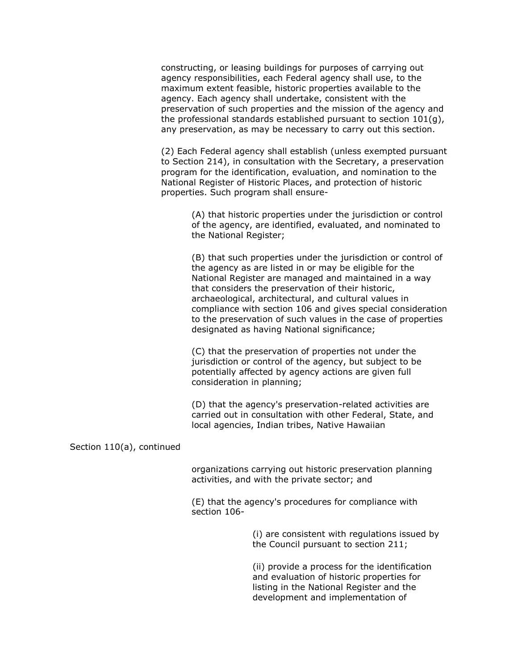constructing, or leasing buildings for purposes of carrying out agency responsibilities, each Federal agency shall use, to the maximum extent feasible, historic properties available to the agency. Each agency shall undertake, consistent with the preservation of such properties and the mission of the agency and the professional standards established pursuant to section 101(g), any preservation, as may be necessary to carry out this section.

(2) Each Federal agency shall establish (unless exempted pursuant to Section 214), in consultation with the Secretary, a preservation program for the identification, evaluation, and nomination to the National Register of Historic Places, and protection of historic properties. Such program shall ensure-

> (A) that historic properties under the jurisdiction or control of the agency, are identified, evaluated, and nominated to the National Register;

(B) that such properties under the jurisdiction or control of the agency as are listed in or may be eligible for the National Register are managed and maintained in a way that considers the preservation of their historic, archaeological, architectural, and cultural values in compliance with section 106 and gives special consideration to the preservation of such values in the case of properties designated as having National significance;

(C) that the preservation of properties not under the jurisdiction or control of the agency, but subject to be potentially affected by agency actions are given full consideration in planning;

(D) that the agency's preservation-related activities are carried out in consultation with other Federal, State, and local agencies, Indian tribes, Native Hawaiian

Section 110(a), continued

organizations carrying out historic preservation planning activities, and with the private sector; and

(E) that the agency's procedures for compliance with section 106-

> (i) are consistent with regulations issued by the Council pursuant to section 211;

(ii) provide a process for the identification and evaluation of historic properties for listing in the National Register and the development and implementation of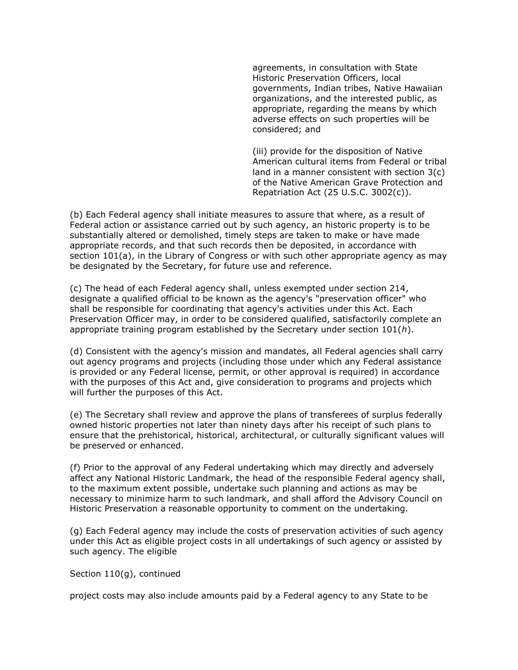agreements, in consultation with State Historic Preservation Officers, local governments, Indian tribes, Native Hawaiian organizations, and the interested public, as appropriate, regarding the means by which adverse effects on such properties will be considered; and

(iii) provide for the disposition of Native American cultural items from Federal or tribal land in a manner consistent with section 3(c) of the Native American Grave Protection and Repatriation Act (25 U.S.C. 3002(c)).

(b) Each Federal agency shall initiate measures to assure that where, as a result of Federal action or assistance carried out by such agency, an historic property is to be substantially altered or demolished, timely steps are taken to make or have made appropriate records, and that such records then be deposited, in accordance with section 101(a), in the Library of Congress or with such other appropriate agency as may be designated by the Secretary, for future use and reference.

(c) The head of each Federal agency shall, unless exempted under section 214, designate a qualified official to be known as the agency's "preservation officer" who shall be responsible for coordinating that agency's activities under this Act. Each Preservation Officer may, in order to be considered qualified, satisfactorily complete an appropriate training program established by the Secretary under section 101(*h*).

(d) Consistent with the agency's mission and mandates, all Federal agencies shall carry out agency programs and projects (including those under which any Federal assistance is provided or any Federal license, permit, or other approval is required) in accordance with the purposes of this Act and, give consideration to programs and projects which will further the purposes of this Act.

(e) The Secretary shall review and approve the plans of transferees of surplus federally owned historic properties not later than ninety days after his receipt of such plans to ensure that the prehistorical, historical, architectural, or culturally significant values will be preserved or enhanced.

(f) Prior to the approval of any Federal undertaking which may directly and adversely affect any National Historic Landmark, the head of the responsible Federal agency shall, to the maximum extent possible, undertake such planning and actions as may be necessary to minimize harm to such landmark, and shall afford the Advisory Council on Historic Preservation a reasonable opportunity to comment on the undertaking.

(g) Each Federal agency may include the costs of preservation activities of such agency under this Act as eligible project costs in all undertakings of such agency or assisted by such agency. The eligible

Section 110(g), continued

project costs may also include amounts paid by a Federal agency to any State to be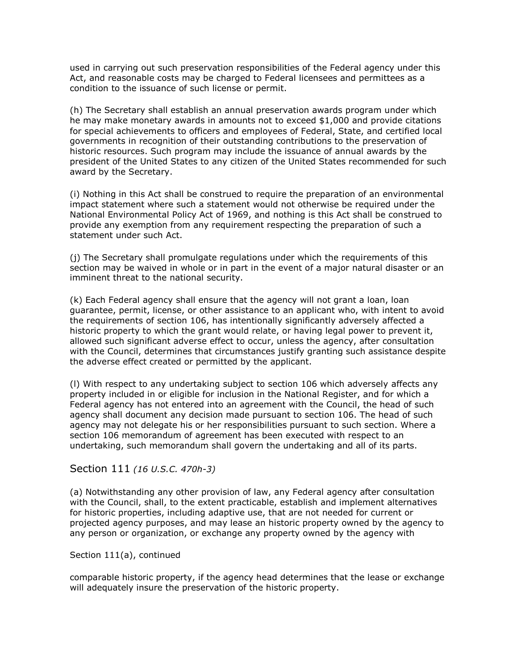used in carrying out such preservation responsibilities of the Federal agency under this Act, and reasonable costs may be charged to Federal licensees and permittees as a condition to the issuance of such license or permit.

(h) The Secretary shall establish an annual preservation awards program under which he may make monetary awards in amounts not to exceed \$1,000 and provide citations for special achievements to officers and employees of Federal, State, and certified local governments in recognition of their outstanding contributions to the preservation of historic resources. Such program may include the issuance of annual awards by the president of the United States to any citizen of the United States recommended for such award by the Secretary.

(i) Nothing in this Act shall be construed to require the preparation of an environmental impact statement where such a statement would not otherwise be required under the National Environmental Policy Act of 1969, and nothing is this Act shall be construed to provide any exemption from any requirement respecting the preparation of such a statement under such Act.

(j) The Secretary shall promulgate regulations under which the requirements of this section may be waived in whole or in part in the event of a major natural disaster or an imminent threat to the national security.

(k) Each Federal agency shall ensure that the agency will not grant a loan, loan guarantee, permit, license, or other assistance to an applicant who, with intent to avoid the requirements of section 106, has intentionally significantly adversely affected a historic property to which the grant would relate, or having legal power to prevent it, allowed such significant adverse effect to occur, unless the agency, after consultation with the Council, determines that circumstances justify granting such assistance despite the adverse effect created or permitted by the applicant.

(l) With respect to any undertaking subject to section 106 which adversely affects any property included in or eligible for inclusion in the National Register, and for which a Federal agency has not entered into an agreement with the Council, the head of such agency shall document any decision made pursuant to section 106. The head of such agency may not delegate his or her responsibilities pursuant to such section. Where a section 106 memorandum of agreement has been executed with respect to an undertaking, such memorandum shall govern the undertaking and all of its parts.

## Section 111 *(16 U.S.C. 470h-3)*

(a) Notwithstanding any other provision of law, any Federal agency after consultation with the Council, shall, to the extent practicable, establish and implement alternatives for historic properties, including adaptive use, that are not needed for current or projected agency purposes, and may lease an historic property owned by the agency to any person or organization, or exchange any property owned by the agency with

#### Section 111(a), continued

comparable historic property, if the agency head determines that the lease or exchange will adequately insure the preservation of the historic property.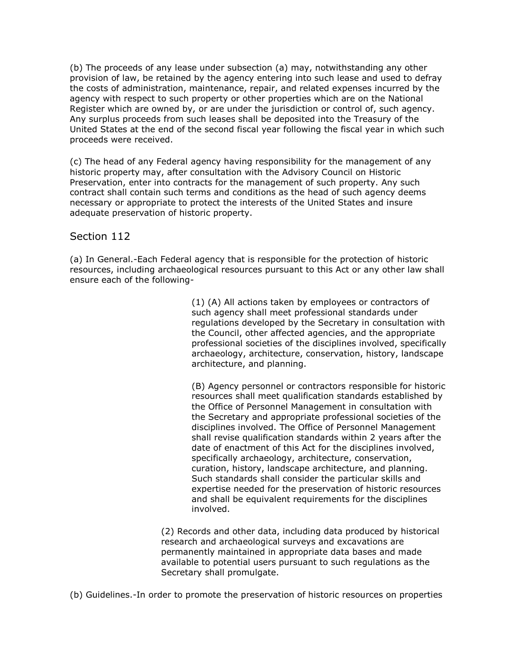(b) The proceeds of any lease under subsection (a) may, notwithstanding any other provision of law, be retained by the agency entering into such lease and used to defray the costs of administration, maintenance, repair, and related expenses incurred by the agency with respect to such property or other properties which are on the National Register which are owned by, or are under the jurisdiction or control of, such agency. Any surplus proceeds from such leases shall be deposited into the Treasury of the United States at the end of the second fiscal year following the fiscal year in which such proceeds were received.

(c) The head of any Federal agency having responsibility for the management of any historic property may, after consultation with the Advisory Council on Historic Preservation, enter into contracts for the management of such property. Any such contract shall contain such terms and conditions as the head of such agency deems necessary or appropriate to protect the interests of the United States and insure adequate preservation of historic property.

## Section 112

(a) In General.-Each Federal agency that is responsible for the protection of historic resources, including archaeological resources pursuant to this Act or any other law shall ensure each of the following-

> (1) (A) All actions taken by employees or contractors of such agency shall meet professional standards under regulations developed by the Secretary in consultation with the Council, other affected agencies, and the appropriate professional societies of the disciplines involved, specifically archaeology, architecture, conservation, history, landscape architecture, and planning.

> (B) Agency personnel or contractors responsible for historic resources shall meet qualification standards established by the Office of Personnel Management in consultation with the Secretary and appropriate professional societies of the disciplines involved. The Office of Personnel Management shall revise qualification standards within 2 years after the date of enactment of this Act for the disciplines involved, specifically archaeology, architecture, conservation, curation, history, landscape architecture, and planning. Such standards shall consider the particular skills and expertise needed for the preservation of historic resources and shall be equivalent requirements for the disciplines involved.

(2) Records and other data, including data produced by historical research and archaeological surveys and excavations are permanently maintained in appropriate data bases and made available to potential users pursuant to such regulations as the Secretary shall promulgate.

(b) Guidelines.-In order to promote the preservation of historic resources on properties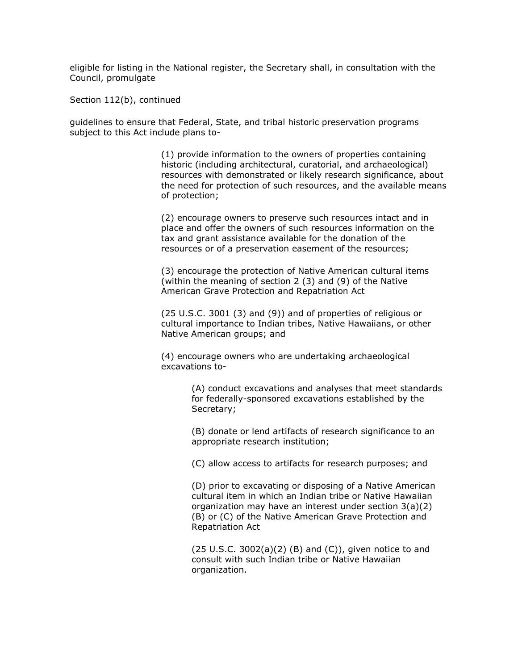eligible for listing in the National register, the Secretary shall, in consultation with the Council, promulgate

Section 112(b), continued

guidelines to ensure that Federal, State, and tribal historic preservation programs subject to this Act include plans to-

> (1) provide information to the owners of properties containing historic (including architectural, curatorial, and archaeological) resources with demonstrated or likely research significance, about the need for protection of such resources, and the available means of protection;

(2) encourage owners to preserve such resources intact and in place and offer the owners of such resources information on the tax and grant assistance available for the donation of the resources or of a preservation easement of the resources;

(3) encourage the protection of Native American cultural items (within the meaning of section 2 (3) and (9) of the Native American Grave Protection and Repatriation Act

(25 U.S.C. 3001 (3) and (9)) and of properties of religious or cultural importance to Indian tribes, Native Hawaiians, or other Native American groups; and

(4) encourage owners who are undertaking archaeological excavations to-

> (A) conduct excavations and analyses that meet standards for federally-sponsored excavations established by the Secretary;

(B) donate or lend artifacts of research significance to an appropriate research institution;

(C) allow access to artifacts for research purposes; and

(D) prior to excavating or disposing of a Native American cultural item in which an Indian tribe or Native Hawaiian organization may have an interest under section 3(a)(2) (B) or (C) of the Native American Grave Protection and Repatriation Act

 $(25 U.S.C. 3002(a)(2) (B)$  and  $(C)$ ), given notice to and consult with such Indian tribe or Native Hawaiian organization.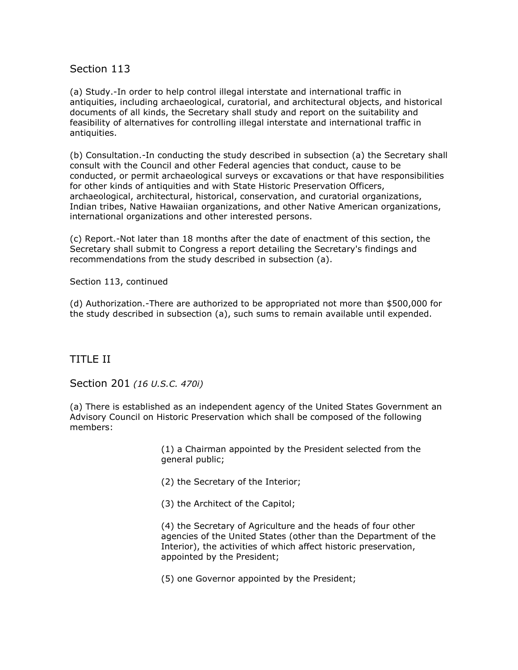## Section 113

(a) Study.-In order to help control illegal interstate and international traffic in antiquities, including archaeological, curatorial, and architectural objects, and historical documents of all kinds, the Secretary shall study and report on the suitability and feasibility of alternatives for controlling illegal interstate and international traffic in antiquities.

(b) Consultation.-In conducting the study described in subsection (a) the Secretary shall consult with the Council and other Federal agencies that conduct, cause to be conducted, or permit archaeological surveys or excavations or that have responsibilities for other kinds of antiquities and with State Historic Preservation Officers, archaeological, architectural, historical, conservation, and curatorial organizations, Indian tribes, Native Hawaiian organizations, and other Native American organizations, international organizations and other interested persons.

(c) Report.-Not later than 18 months after the date of enactment of this section, the Secretary shall submit to Congress a report detailing the Secretary's findings and recommendations from the study described in subsection (a).

Section 113, continued

(d) Authorization.-There are authorized to be appropriated not more than \$500,000 for the study described in subsection (a), such sums to remain available until expended.

# TITLE II

Section 201 *(16 U.S.C. 470i)*

(a) There is established as an independent agency of the United States Government an Advisory Council on Historic Preservation which shall be composed of the following members:

> (1) a Chairman appointed by the President selected from the general public;

(2) the Secretary of the Interior;

(3) the Architect of the Capitol;

(4) the Secretary of Agriculture and the heads of four other agencies of the United States (other than the Department of the Interior), the activities of which affect historic preservation, appointed by the President;

(5) one Governor appointed by the President;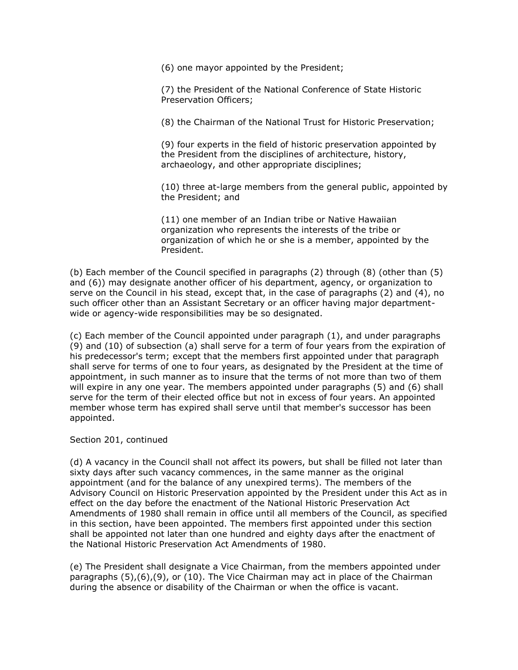(6) one mayor appointed by the President;

(7) the President of the National Conference of State Historic Preservation Officers;

(8) the Chairman of the National Trust for Historic Preservation;

(9) four experts in the field of historic preservation appointed by the President from the disciplines of architecture, history, archaeology, and other appropriate disciplines;

(10) three at-large members from the general public, appointed by the President; and

(11) one member of an Indian tribe or Native Hawaiian organization who represents the interests of the tribe or organization of which he or she is a member, appointed by the President.

(b) Each member of the Council specified in paragraphs (2) through (8) (other than (5) and (6)) may designate another officer of his department, agency, or organization to serve on the Council in his stead, except that, in the case of paragraphs (2) and (4), no such officer other than an Assistant Secretary or an officer having major departmentwide or agency-wide responsibilities may be so designated.

(c) Each member of the Council appointed under paragraph (1), and under paragraphs (9) and (10) of subsection (a) shall serve for a term of four years from the expiration of his predecessor's term; except that the members first appointed under that paragraph shall serve for terms of one to four years, as designated by the President at the time of appointment, in such manner as to insure that the terms of not more than two of them will expire in any one year. The members appointed under paragraphs (5) and (6) shall serve for the term of their elected office but not in excess of four years. An appointed member whose term has expired shall serve until that member's successor has been appointed.

#### Section 201, continued

(d) A vacancy in the Council shall not affect its powers, but shall be filled not later than sixty days after such vacancy commences, in the same manner as the original appointment (and for the balance of any unexpired terms). The members of the Advisory Council on Historic Preservation appointed by the President under this Act as in effect on the day before the enactment of the National Historic Preservation Act Amendments of 1980 shall remain in office until all members of the Council, as specified in this section, have been appointed. The members first appointed under this section shall be appointed not later than one hundred and eighty days after the enactment of the National Historic Preservation Act Amendments of 1980.

(e) The President shall designate a Vice Chairman, from the members appointed under paragraphs (5),(6),(9), or (10). The Vice Chairman may act in place of the Chairman during the absence or disability of the Chairman or when the office is vacant.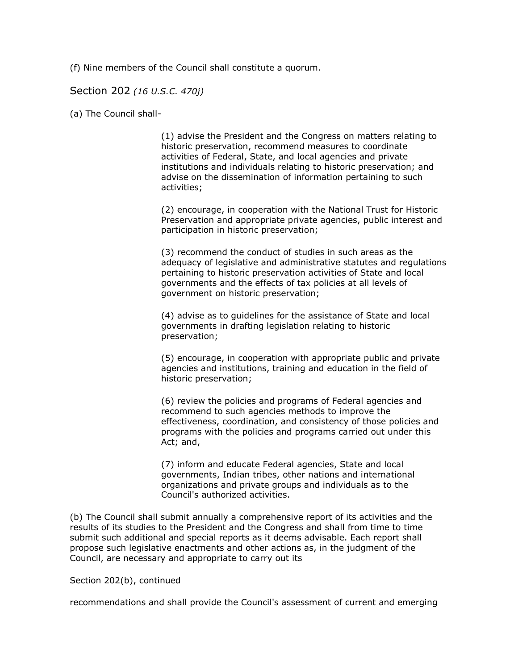(f) Nine members of the Council shall constitute a quorum.

#### Section 202 *(16 U.S.C. 470j)*

(a) The Council shall-

(1) advise the President and the Congress on matters relating to historic preservation, recommend measures to coordinate activities of Federal, State, and local agencies and private institutions and individuals relating to historic preservation; and advise on the dissemination of information pertaining to such activities;

(2) encourage, in cooperation with the National Trust for Historic Preservation and appropriate private agencies, public interest and participation in historic preservation;

(3) recommend the conduct of studies in such areas as the adequacy of legislative and administrative statutes and regulations pertaining to historic preservation activities of State and local governments and the effects of tax policies at all levels of government on historic preservation;

(4) advise as to guidelines for the assistance of State and local governments in drafting legislation relating to historic preservation;

(5) encourage, in cooperation with appropriate public and private agencies and institutions, training and education in the field of historic preservation;

(6) review the policies and programs of Federal agencies and recommend to such agencies methods to improve the effectiveness, coordination, and consistency of those policies and programs with the policies and programs carried out under this Act; and,

(7) inform and educate Federal agencies, State and local governments, Indian tribes, other nations and international organizations and private groups and individuals as to the Council's authorized activities.

(b) The Council shall submit annually a comprehensive report of its activities and the results of its studies to the President and the Congress and shall from time to time submit such additional and special reports as it deems advisable. Each report shall propose such legislative enactments and other actions as, in the judgment of the Council, are necessary and appropriate to carry out its

#### Section 202(b), continued

recommendations and shall provide the Council's assessment of current and emerging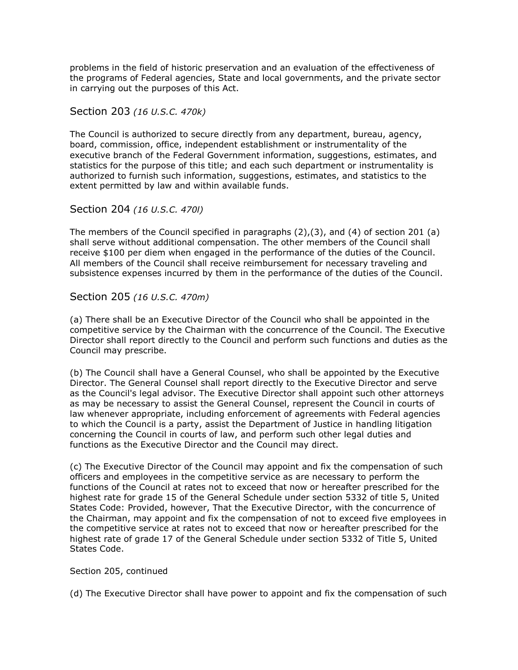problems in the field of historic preservation and an evaluation of the effectiveness of the programs of Federal agencies, State and local governments, and the private sector in carrying out the purposes of this Act.

Section 203 *(16 U.S.C. 470k)*

The Council is authorized to secure directly from any department, bureau, agency, board, commission, office, independent establishment or instrumentality of the executive branch of the Federal Government information, suggestions, estimates, and statistics for the purpose of this title; and each such department or instrumentality is authorized to furnish such information, suggestions, estimates, and statistics to the extent permitted by law and within available funds.

Section 204 *(16 U.S.C. 470l)*

The members of the Council specified in paragraphs (2),(3), and (4) of section 201 (a) shall serve without additional compensation. The other members of the Council shall receive \$100 per diem when engaged in the performance of the duties of the Council. All members of the Council shall receive reimbursement for necessary traveling and subsistence expenses incurred by them in the performance of the duties of the Council.

Section 205 *(16 U.S.C. 470m)*

(a) There shall be an Executive Director of the Council who shall be appointed in the competitive service by the Chairman with the concurrence of the Council. The Executive Director shall report directly to the Council and perform such functions and duties as the Council may prescribe.

(b) The Council shall have a General Counsel, who shall be appointed by the Executive Director. The General Counsel shall report directly to the Executive Director and serve as the Council's legal advisor. The Executive Director shall appoint such other attorneys as may be necessary to assist the General Counsel, represent the Council in courts of law whenever appropriate, including enforcement of agreements with Federal agencies to which the Council is a party, assist the Department of Justice in handling litigation concerning the Council in courts of law, and perform such other legal duties and functions as the Executive Director and the Council may direct.

(c) The Executive Director of the Council may appoint and fix the compensation of such officers and employees in the competitive service as are necessary to perform the functions of the Council at rates not to exceed that now or hereafter prescribed for the highest rate for grade 15 of the General Schedule under section 5332 of title 5, United States Code: Provided, however, That the Executive Director, with the concurrence of the Chairman, may appoint and fix the compensation of not to exceed five employees in the competitive service at rates not to exceed that now or hereafter prescribed for the highest rate of grade 17 of the General Schedule under section 5332 of Title 5, United States Code.

#### Section 205, continued

(d) The Executive Director shall have power to appoint and fix the compensation of such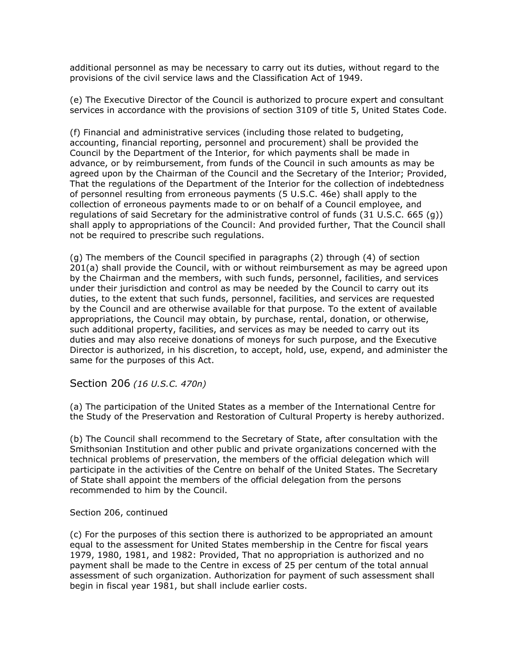additional personnel as may be necessary to carry out its duties, without regard to the provisions of the civil service laws and the Classification Act of 1949.

(e) The Executive Director of the Council is authorized to procure expert and consultant services in accordance with the provisions of section 3109 of title 5, United States Code.

(f) Financial and administrative services (including those related to budgeting, accounting, financial reporting, personnel and procurement) shall be provided the Council by the Department of the Interior, for which payments shall be made in advance, or by reimbursement, from funds of the Council in such amounts as may be agreed upon by the Chairman of the Council and the Secretary of the Interior; Provided, That the regulations of the Department of the Interior for the collection of indebtedness of personnel resulting from erroneous payments (5 U.S.C. 46e) shall apply to the collection of erroneous payments made to or on behalf of a Council employee, and regulations of said Secretary for the administrative control of funds (31 U.S.C. 665 (g)) shall apply to appropriations of the Council: And provided further, That the Council shall not be required to prescribe such regulations.

(g) The members of the Council specified in paragraphs (2) through (4) of section 201(a) shall provide the Council, with or without reimbursement as may be agreed upon by the Chairman and the members, with such funds, personnel, facilities, and services under their jurisdiction and control as may be needed by the Council to carry out its duties, to the extent that such funds, personnel, facilities, and services are requested by the Council and are otherwise available for that purpose. To the extent of available appropriations, the Council may obtain, by purchase, rental, donation, or otherwise, such additional property, facilities, and services as may be needed to carry out its duties and may also receive donations of moneys for such purpose, and the Executive Director is authorized, in his discretion, to accept, hold, use, expend, and administer the same for the purposes of this Act.

Section 206 *(16 U.S.C. 470n)*

(a) The participation of the United States as a member of the International Centre for the Study of the Preservation and Restoration of Cultural Property is hereby authorized.

(b) The Council shall recommend to the Secretary of State, after consultation with the Smithsonian Institution and other public and private organizations concerned with the technical problems of preservation, the members of the official delegation which will participate in the activities of the Centre on behalf of the United States. The Secretary of State shall appoint the members of the official delegation from the persons recommended to him by the Council.

#### Section 206, continued

(c) For the purposes of this section there is authorized to be appropriated an amount equal to the assessment for United States membership in the Centre for fiscal years 1979, 1980, 1981, and 1982: Provided, That no appropriation is authorized and no payment shall be made to the Centre in excess of 25 per centum of the total annual assessment of such organization. Authorization for payment of such assessment shall begin in fiscal year 1981, but shall include earlier costs.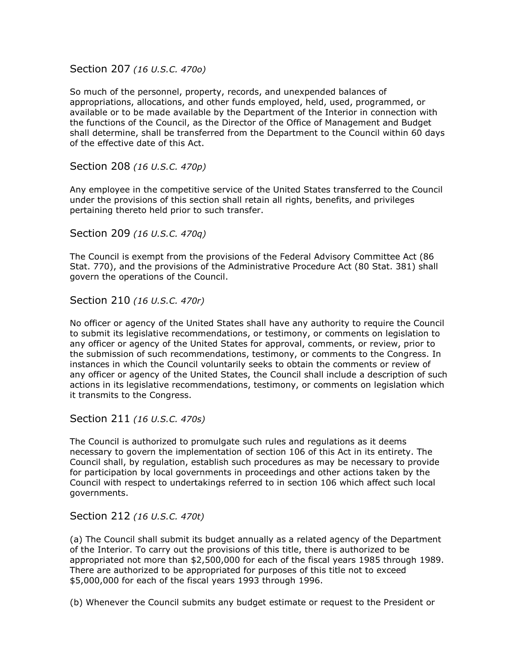Section 207 *(16 U.S.C. 470o)*

So much of the personnel, property, records, and unexpended balances of appropriations, allocations, and other funds employed, held, used, programmed, or available or to be made available by the Department of the Interior in connection with the functions of the Council, as the Director of the Office of Management and Budget shall determine, shall be transferred from the Department to the Council within 60 days of the effective date of this Act.

Section 208 *(16 U.S.C. 470p)*

Any employee in the competitive service of the United States transferred to the Council under the provisions of this section shall retain all rights, benefits, and privileges pertaining thereto held prior to such transfer.

Section 209 *(16 U.S.C. 470q)*

The Council is exempt from the provisions of the Federal Advisory Committee Act (86 Stat. 770), and the provisions of the Administrative Procedure Act (80 Stat. 381) shall govern the operations of the Council.

Section 210 *(16 U.S.C. 470r)*

No officer or agency of the United States shall have any authority to require the Council to submit its legislative recommendations, or testimony, or comments on legislation to any officer or agency of the United States for approval, comments, or review, prior to the submission of such recommendations, testimony, or comments to the Congress. In instances in which the Council voluntarily seeks to obtain the comments or review of any officer or agency of the United States, the Council shall include a description of such actions in its legislative recommendations, testimony, or comments on legislation which it transmits to the Congress.

Section 211 *(16 U.S.C. 470s)*

The Council is authorized to promulgate such rules and regulations as it deems necessary to govern the implementation of section 106 of this Act in its entirety. The Council shall, by regulation, establish such procedures as may be necessary to provide for participation by local governments in proceedings and other actions taken by the Council with respect to undertakings referred to in section 106 which affect such local governments.

Section 212 *(16 U.S.C. 470t)*

(a) The Council shall submit its budget annually as a related agency of the Department of the Interior. To carry out the provisions of this title, there is authorized to be appropriated not more than \$2,500,000 for each of the fiscal years 1985 through 1989. There are authorized to be appropriated for purposes of this title not to exceed \$5,000,000 for each of the fiscal years 1993 through 1996.

(b) Whenever the Council submits any budget estimate or request to the President or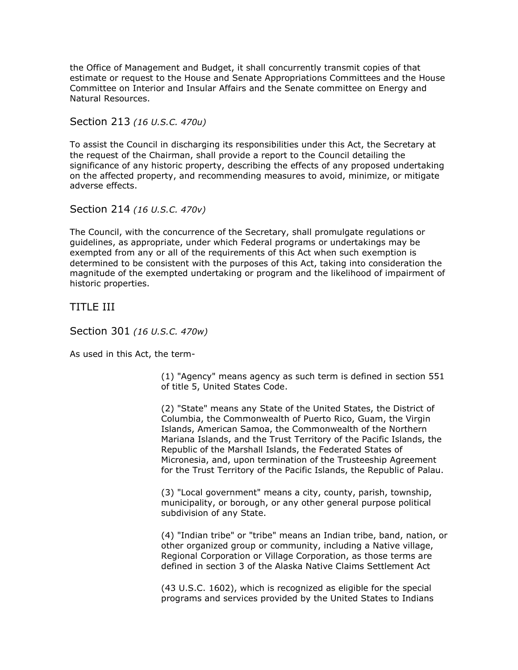the Office of Management and Budget, it shall concurrently transmit copies of that estimate or request to the House and Senate Appropriations Committees and the House Committee on Interior and Insular Affairs and the Senate committee on Energy and Natural Resources.

Section 213 *(16 U.S.C. 470u)*

To assist the Council in discharging its responsibilities under this Act, the Secretary at the request of the Chairman, shall provide a report to the Council detailing the significance of any historic property, describing the effects of any proposed undertaking on the affected property, and recommending measures to avoid, minimize, or mitigate adverse effects.

Section 214 *(16 U.S.C. 470v)*

The Council, with the concurrence of the Secretary, shall promulgate regulations or guidelines, as appropriate, under which Federal programs or undertakings may be exempted from any or all of the requirements of this Act when such exemption is determined to be consistent with the purposes of this Act, taking into consideration the magnitude of the exempted undertaking or program and the likelihood of impairment of historic properties.

TITLE III

Section 301 *(16 U.S.C. 470w)*

As used in this Act, the term-

(1) "Agency" means agency as such term is defined in section 551 of title 5, United States Code.

(2) "State" means any State of the United States, the District of Columbia, the Commonwealth of Puerto Rico, Guam, the Virgin Islands, American Samoa, the Commonwealth of the Northern Mariana Islands, and the Trust Territory of the Pacific Islands, the Republic of the Marshall Islands, the Federated States of Micronesia, and, upon termination of the Trusteeship Agreement for the Trust Territory of the Pacific Islands, the Republic of Palau.

(3) "Local government" means a city, county, parish, township, municipality, or borough, or any other general purpose political subdivision of any State.

(4) "Indian tribe" or "tribe" means an Indian tribe, band, nation, or other organized group or community, including a Native village, Regional Corporation or Village Corporation, as those terms are defined in section 3 of the Alaska Native Claims Settlement Act

(43 U.S.C. 1602), which is recognized as eligible for the special programs and services provided by the United States to Indians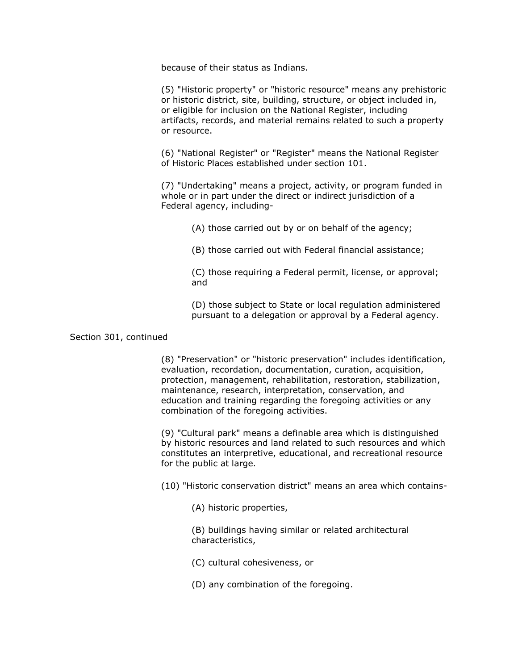because of their status as Indians.

(5) "Historic property" or "historic resource" means any prehistoric or historic district, site, building, structure, or object included in, or eligible for inclusion on the National Register, including artifacts, records, and material remains related to such a property or resource.

(6) "National Register" or "Register" means the National Register of Historic Places established under section 101.

(7) "Undertaking" means a project, activity, or program funded in whole or in part under the direct or indirect jurisdiction of a Federal agency, including-

(A) those carried out by or on behalf of the agency;

(B) those carried out with Federal financial assistance;

(C) those requiring a Federal permit, license, or approval; and

(D) those subject to State or local regulation administered pursuant to a delegation or approval by a Federal agency.

#### Section 301, continued

(8) "Preservation" or "historic preservation" includes identification, evaluation, recordation, documentation, curation, acquisition, protection, management, rehabilitation, restoration, stabilization, maintenance, research, interpretation, conservation, and education and training regarding the foregoing activities or any combination of the foregoing activities.

(9) "Cultural park" means a definable area which is distinguished by historic resources and land related to such resources and which constitutes an interpretive, educational, and recreational resource for the public at large.

(10) "Historic conservation district" means an area which contains-

(A) historic properties,

(B) buildings having similar or related architectural characteristics,

(C) cultural cohesiveness, or

(D) any combination of the foregoing.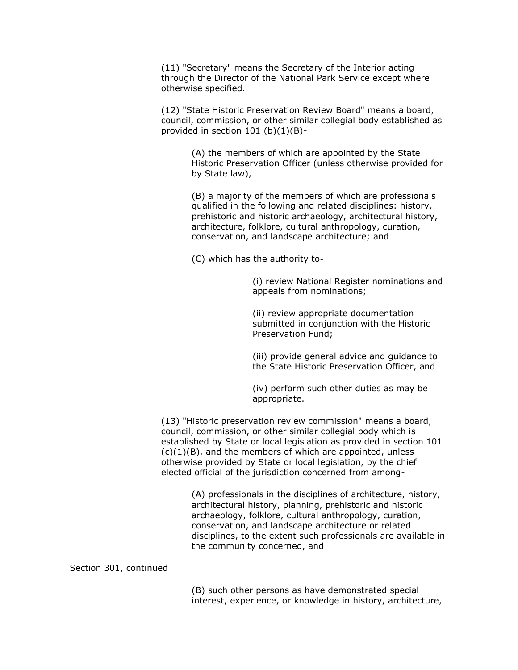(11) "Secretary" means the Secretary of the Interior acting through the Director of the National Park Service except where otherwise specified.

(12) "State Historic Preservation Review Board" means a board, council, commission, or other similar collegial body established as provided in section 101 (b)(1)(B)-

> (A) the members of which are appointed by the State Historic Preservation Officer (unless otherwise provided for by State law),

(B) a majority of the members of which are professionals qualified in the following and related disciplines: history, prehistoric and historic archaeology, architectural history, architecture, folklore, cultural anthropology, curation, conservation, and landscape architecture; and

(C) which has the authority to-

(i) review National Register nominations and appeals from nominations;

(ii) review appropriate documentation submitted in conjunction with the Historic Preservation Fund;

(iii) provide general advice and guidance to the State Historic Preservation Officer, and

(iv) perform such other duties as may be appropriate.

(13) "Historic preservation review commission" means a board, council, commission, or other similar collegial body which is established by State or local legislation as provided in section 101  $(c)(1)(B)$ , and the members of which are appointed, unless otherwise provided by State or local legislation, by the chief elected official of the jurisdiction concerned from among-

> (A) professionals in the disciplines of architecture, history, architectural history, planning, prehistoric and historic archaeology, folklore, cultural anthropology, curation, conservation, and landscape architecture or related disciplines, to the extent such professionals are available in the community concerned, and

Section 301, continued

(B) such other persons as have demonstrated special interest, experience, or knowledge in history, architecture,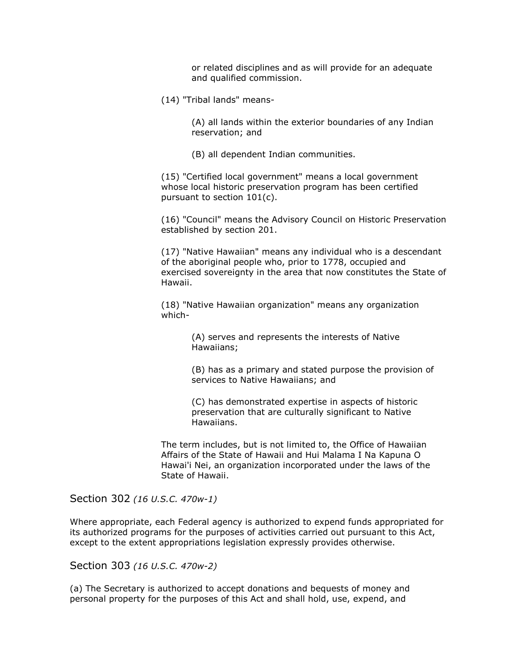or related disciplines and as will provide for an adequate and qualified commission.

(14) "Tribal lands" means-

(A) all lands within the exterior boundaries of any Indian reservation; and

(B) all dependent Indian communities.

(15) "Certified local government" means a local government whose local historic preservation program has been certified pursuant to section 101(c).

(16) "Council" means the Advisory Council on Historic Preservation established by section 201.

(17) "Native Hawaiian" means any individual who is a descendant of the aboriginal people who, prior to 1778, occupied and exercised sovereignty in the area that now constitutes the State of Hawaii.

(18) "Native Hawaiian organization" means any organization which-

> (A) serves and represents the interests of Native Hawaiians;

(B) has as a primary and stated purpose the provision of services to Native Hawaiians; and

(C) has demonstrated expertise in aspects of historic preservation that are culturally significant to Native Hawaiians.

The term includes, but is not limited to, the Office of Hawaiian Affairs of the State of Hawaii and Hui Malama I Na Kapuna O Hawai'i Nei, an organization incorporated under the laws of the State of Hawaii.

Section 302 *(16 U.S.C. 470w-1)*

Where appropriate, each Federal agency is authorized to expend funds appropriated for its authorized programs for the purposes of activities carried out pursuant to this Act, except to the extent appropriations legislation expressly provides otherwise.

Section 303 *(16 U.S.C. 470w-2)*

(a) The Secretary is authorized to accept donations and bequests of money and personal property for the purposes of this Act and shall hold, use, expend, and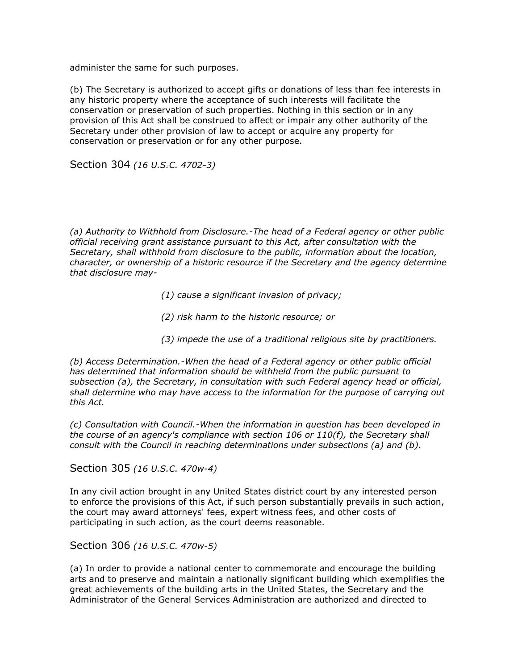administer the same for such purposes.

(b) The Secretary is authorized to accept gifts or donations of less than fee interests in any historic property where the acceptance of such interests will facilitate the conservation or preservation of such properties. Nothing in this section or in any provision of this Act shall be construed to affect or impair any other authority of the Secretary under other provision of law to accept or acquire any property for conservation or preservation or for any other purpose.

Section 304 *(16 U.S.C. 4702-3)*

*(a) Authority to Withhold from Disclosure.-The head of a Federal agency or other public official receiving grant assistance pursuant to this Act, after consultation with the Secretary, shall withhold from disclosure to the public, information about the location, character, or ownership of a historic resource if the Secretary and the agency determine that disclosure may-*

- *(1) cause a significant invasion of privacy;*
- *(2) risk harm to the historic resource; or*
- *(3) impede the use of a traditional religious site by practitioners.*

*(b) Access Determination.-When the head of a Federal agency or other public official has determined that information should be withheld from the public pursuant to subsection (a), the Secretary, in consultation with such Federal agency head or official, shall determine who may have access to the information for the purpose of carrying out this Act.*

*(c) Consultation with Council.-When the information in question has been developed in the course of an agency's compliance with section 106 or 110(f), the Secretary shall consult with the Council in reaching determinations under subsections (a) and (b).*

Section 305 *(16 U.S.C. 470w-4)*

In any civil action brought in any United States district court by any interested person to enforce the provisions of this Act, if such person substantially prevails in such action, the court may award attorneys' fees, expert witness fees, and other costs of participating in such action, as the court deems reasonable.

Section 306 *(16 U.S.C. 470w-5)*

(a) In order to provide a national center to commemorate and encourage the building arts and to preserve and maintain a nationally significant building which exemplifies the great achievements of the building arts in the United States, the Secretary and the Administrator of the General Services Administration are authorized and directed to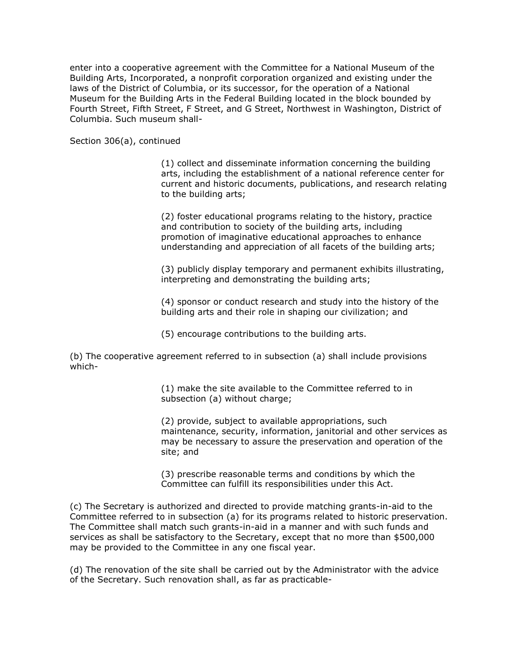enter into a cooperative agreement with the Committee for a National Museum of the Building Arts, Incorporated, a nonprofit corporation organized and existing under the laws of the District of Columbia, or its successor, for the operation of a National Museum for the Building Arts in the Federal Building located in the block bounded by Fourth Street, Fifth Street, F Street, and G Street, Northwest in Washington, District of Columbia. Such museum shall-

Section 306(a), continued

(1) collect and disseminate information concerning the building arts, including the establishment of a national reference center for current and historic documents, publications, and research relating to the building arts;

(2) foster educational programs relating to the history, practice and contribution to society of the building arts, including promotion of imaginative educational approaches to enhance understanding and appreciation of all facets of the building arts;

(3) publicly display temporary and permanent exhibits illustrating, interpreting and demonstrating the building arts;

(4) sponsor or conduct research and study into the history of the building arts and their role in shaping our civilization; and

(5) encourage contributions to the building arts.

(b) The cooperative agreement referred to in subsection (a) shall include provisions which-

> (1) make the site available to the Committee referred to in subsection (a) without charge;

(2) provide, subject to available appropriations, such maintenance, security, information, janitorial and other services as may be necessary to assure the preservation and operation of the site; and

(3) prescribe reasonable terms and conditions by which the Committee can fulfill its responsibilities under this Act.

(c) The Secretary is authorized and directed to provide matching grants-in-aid to the Committee referred to in subsection (a) for its programs related to historic preservation. The Committee shall match such grants-in-aid in a manner and with such funds and services as shall be satisfactory to the Secretary, except that no more than \$500,000 may be provided to the Committee in any one fiscal year.

(d) The renovation of the site shall be carried out by the Administrator with the advice of the Secretary. Such renovation shall, as far as practicable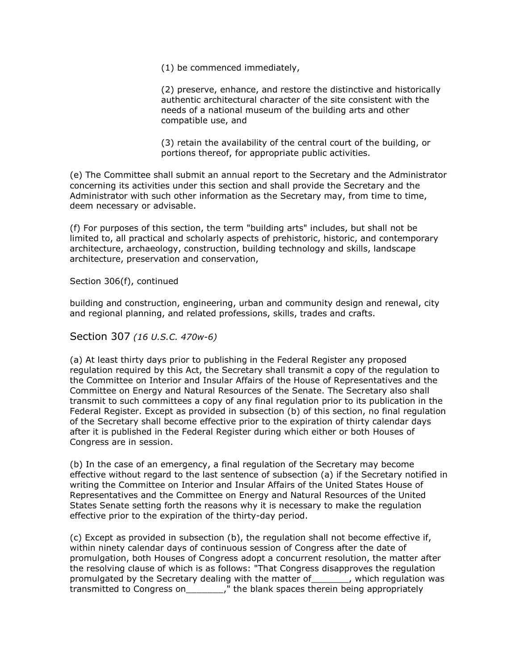(1) be commenced immediately,

(2) preserve, enhance, and restore the distinctive and historically authentic architectural character of the site consistent with the needs of a national museum of the building arts and other compatible use, and

(3) retain the availability of the central court of the building, or portions thereof, for appropriate public activities.

(e) The Committee shall submit an annual report to the Secretary and the Administrator concerning its activities under this section and shall provide the Secretary and the Administrator with such other information as the Secretary may, from time to time, deem necessary or advisable.

(f) For purposes of this section, the term "building arts" includes, but shall not be limited to, all practical and scholarly aspects of prehistoric, historic, and contemporary architecture, archaeology, construction, building technology and skills, landscape architecture, preservation and conservation,

Section 306(f), continued

building and construction, engineering, urban and community design and renewal, city and regional planning, and related professions, skills, trades and crafts.

Section 307 *(16 U.S.C. 470w-6)*

(a) At least thirty days prior to publishing in the Federal Register any proposed regulation required by this Act, the Secretary shall transmit a copy of the regulation to the Committee on Interior and Insular Affairs of the House of Representatives and the Committee on Energy and Natural Resources of the Senate. The Secretary also shall transmit to such committees a copy of any final regulation prior to its publication in the Federal Register. Except as provided in subsection (b) of this section, no final regulation of the Secretary shall become effective prior to the expiration of thirty calendar days after it is published in the Federal Register during which either or both Houses of Congress are in session.

(b) In the case of an emergency, a final regulation of the Secretary may become effective without regard to the last sentence of subsection (a) if the Secretary notified in writing the Committee on Interior and Insular Affairs of the United States House of Representatives and the Committee on Energy and Natural Resources of the United States Senate setting forth the reasons why it is necessary to make the regulation effective prior to the expiration of the thirty-day period.

(c) Except as provided in subsection (b), the regulation shall not become effective if, within ninety calendar days of continuous session of Congress after the date of promulgation, both Houses of Congress adopt a concurrent resolution, the matter after the resolving clause of which is as follows: "That Congress disapproves the regulation promulgated by the Secretary dealing with the matter of\_\_\_\_\_\_\_, which regulation was transmitted to Congress on  $\overline{\phantom{a}}$ , " the blank spaces therein being appropriately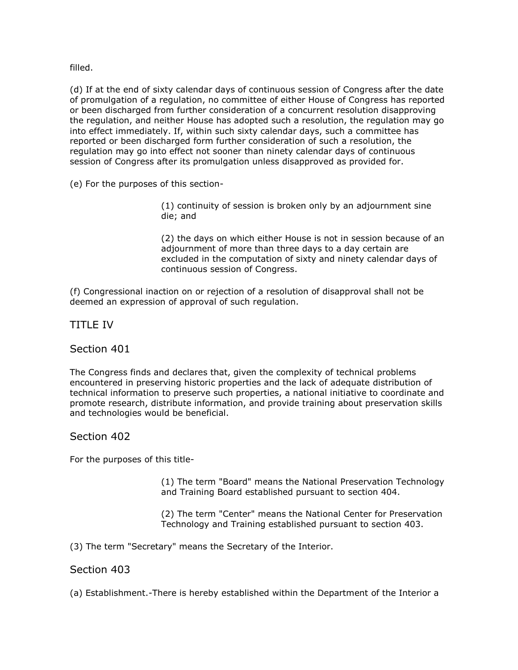filled.

(d) If at the end of sixty calendar days of continuous session of Congress after the date of promulgation of a regulation, no committee of either House of Congress has reported or been discharged from further consideration of a concurrent resolution disapproving the regulation, and neither House has adopted such a resolution, the regulation may go into effect immediately. If, within such sixty calendar days, such a committee has reported or been discharged form further consideration of such a resolution, the regulation may go into effect not sooner than ninety calendar days of continuous session of Congress after its promulgation unless disapproved as provided for.

(e) For the purposes of this section-

(1) continuity of session is broken only by an adjournment sine die; and

(2) the days on which either House is not in session because of an adjournment of more than three days to a day certain are excluded in the computation of sixty and ninety calendar days of continuous session of Congress.

(f) Congressional inaction on or rejection of a resolution of disapproval shall not be deemed an expression of approval of such regulation.

TITLE IV

Section 401

The Congress finds and declares that, given the complexity of technical problems encountered in preserving historic properties and the lack of adequate distribution of technical information to preserve such properties, a national initiative to coordinate and promote research, distribute information, and provide training about preservation skills and technologies would be beneficial.

Section 402

For the purposes of this title-

(1) The term "Board" means the National Preservation Technology and Training Board established pursuant to section 404.

(2) The term "Center" means the National Center for Preservation Technology and Training established pursuant to section 403.

(3) The term "Secretary" means the Secretary of the Interior.

Section 403

(a) Establishment.-There is hereby established within the Department of the Interior a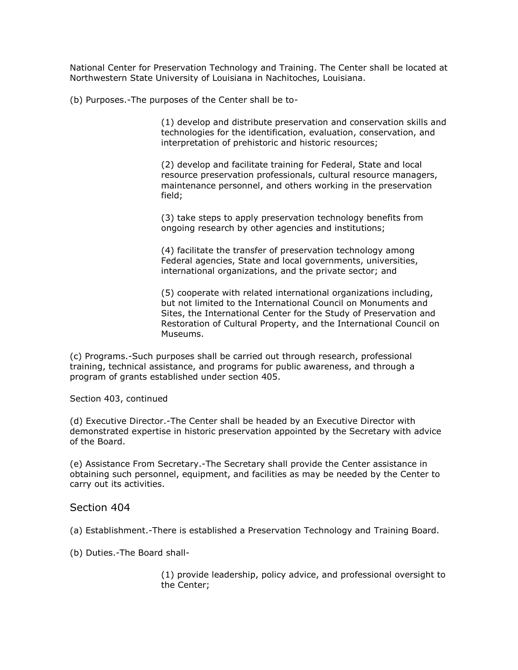National Center for Preservation Technology and Training. The Center shall be located at Northwestern State University of Louisiana in Nachitoches, Louisiana.

(b) Purposes.-The purposes of the Center shall be to-

(1) develop and distribute preservation and conservation skills and technologies for the identification, evaluation, conservation, and interpretation of prehistoric and historic resources;

(2) develop and facilitate training for Federal, State and local resource preservation professionals, cultural resource managers, maintenance personnel, and others working in the preservation field;

(3) take steps to apply preservation technology benefits from ongoing research by other agencies and institutions;

(4) facilitate the transfer of preservation technology among Federal agencies, State and local governments, universities, international organizations, and the private sector; and

(5) cooperate with related international organizations including, but not limited to the International Council on Monuments and Sites, the International Center for the Study of Preservation and Restoration of Cultural Property, and the International Council on Museums.

(c) Programs.-Such purposes shall be carried out through research, professional training, technical assistance, and programs for public awareness, and through a program of grants established under section 405.

Section 403, continued

(d) Executive Director.-The Center shall be headed by an Executive Director with demonstrated expertise in historic preservation appointed by the Secretary with advice of the Board.

(e) Assistance From Secretary.-The Secretary shall provide the Center assistance in obtaining such personnel, equipment, and facilities as may be needed by the Center to carry out its activities.

## Section 404

(a) Establishment.-There is established a Preservation Technology and Training Board.

(b) Duties.-The Board shall-

(1) provide leadership, policy advice, and professional oversight to the Center;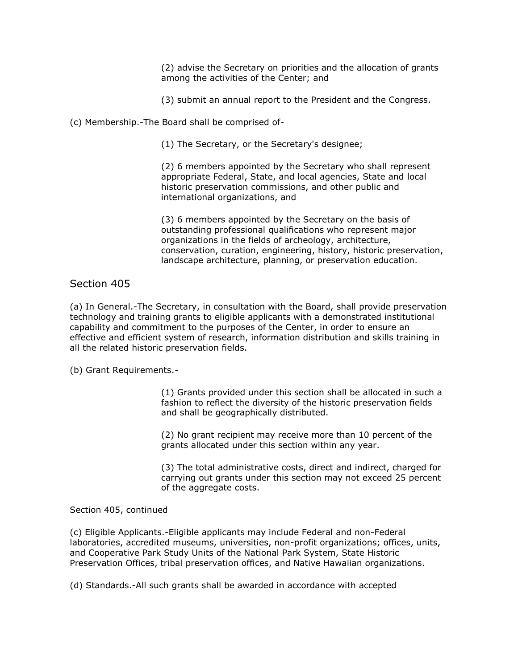(2) advise the Secretary on priorities and the allocation of grants among the activities of the Center; and

(3) submit an annual report to the President and the Congress.

(c) Membership.-The Board shall be comprised of-

(1) The Secretary, or the Secretary's designee;

(2) 6 members appointed by the Secretary who shall represent appropriate Federal, State, and local agencies, State and local historic preservation commissions, and other public and international organizations, and

(3) 6 members appointed by the Secretary on the basis of outstanding professional qualifications who represent major organizations in the fields of archeology, architecture, conservation, curation, engineering, history, historic preservation, landscape architecture, planning, or preservation education.

Section 405

(a) In General.-The Secretary, in consultation with the Board, shall provide preservation technology and training grants to eligible applicants with a demonstrated institutional capability and commitment to the purposes of the Center, in order to ensure an effective and efficient system of research, information distribution and skills training in all the related historic preservation fields.

(b) Grant Requirements.-

(1) Grants provided under this section shall be allocated in such a fashion to reflect the diversity of the historic preservation fields and shall be geographically distributed.

(2) No grant recipient may receive more than 10 percent of the grants allocated under this section within any year.

(3) The total administrative costs, direct and indirect, charged for carrying out grants under this section may not exceed 25 percent of the aggregate costs.

Section 405, continued

(c) Eligible Applicants.-Eligible applicants may include Federal and non-Federal laboratories, accredited museums, universities, non-profit organizations; offices, units, and Cooperative Park Study Units of the National Park System, State Historic Preservation Offices, tribal preservation offices, and Native Hawaiian organizations.

(d) Standards.-All such grants shall be awarded in accordance with accepted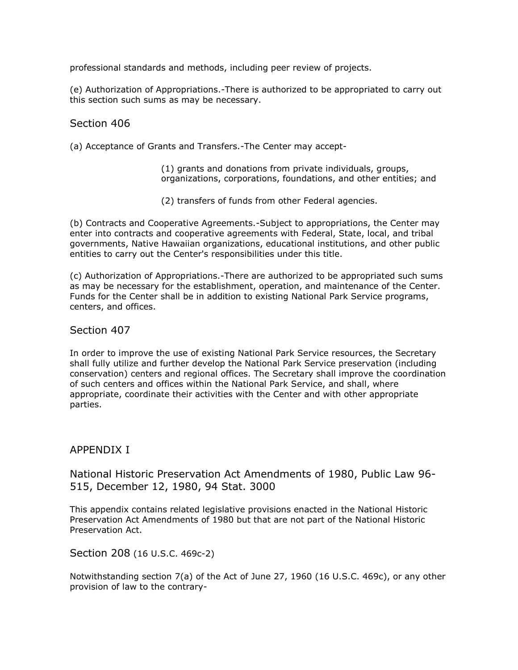professional standards and methods, including peer review of projects.

(e) Authorization of Appropriations.-There is authorized to be appropriated to carry out this section such sums as may be necessary.

## Section 406

(a) Acceptance of Grants and Transfers.-The Center may accept-

(1) grants and donations from private individuals, groups, organizations, corporations, foundations, and other entities; and

(2) transfers of funds from other Federal agencies.

(b) Contracts and Cooperative Agreements.-Subject to appropriations, the Center may enter into contracts and cooperative agreements with Federal, State, local, and tribal governments, Native Hawaiian organizations, educational institutions, and other public entities to carry out the Center's responsibilities under this title.

(c) Authorization of Appropriations.-There are authorized to be appropriated such sums as may be necessary for the establishment, operation, and maintenance of the Center. Funds for the Center shall be in addition to existing National Park Service programs, centers, and offices.

## Section 407

In order to improve the use of existing National Park Service resources, the Secretary shall fully utilize and further develop the National Park Service preservation (including conservation) centers and regional offices. The Secretary shall improve the coordination of such centers and offices within the National Park Service, and shall, where appropriate, coordinate their activities with the Center and with other appropriate parties.

## APPENDIX I

National Historic Preservation Act Amendments of 1980, Public Law 96- 515, December 12, 1980, 94 Stat. 3000

This appendix contains related legislative provisions enacted in the National Historic Preservation Act Amendments of 1980 but that are not part of the National Historic Preservation Act.

Section 208 (16 U.S.C. 469c-2)

Notwithstanding section 7(a) of the Act of June 27, 1960 (16 U.S.C. 469c), or any other provision of law to the contrary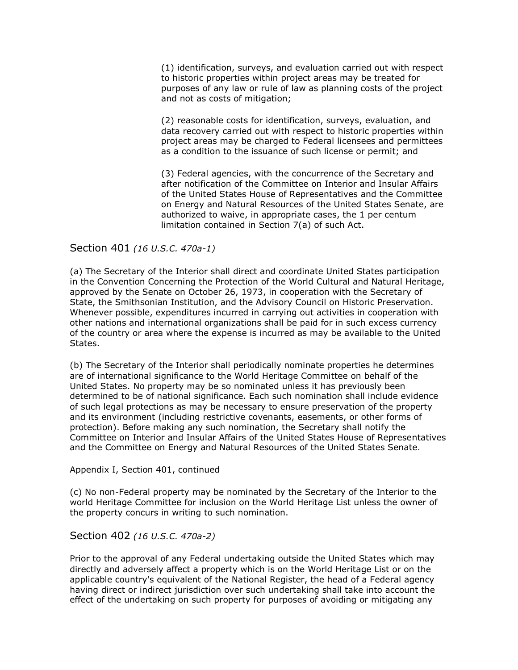(1) identification, surveys, and evaluation carried out with respect to historic properties within project areas may be treated for purposes of any law or rule of law as planning costs of the project and not as costs of mitigation;

(2) reasonable costs for identification, surveys, evaluation, and data recovery carried out with respect to historic properties within project areas may be charged to Federal licensees and permittees as a condition to the issuance of such license or permit; and

(3) Federal agencies, with the concurrence of the Secretary and after notification of the Committee on Interior and Insular Affairs of the United States House of Representatives and the Committee on Energy and Natural Resources of the United States Senate, are authorized to waive, in appropriate cases, the 1 per centum limitation contained in Section 7(a) of such Act.

## Section 401 *(16 U.S.C. 470a-1)*

(a) The Secretary of the Interior shall direct and coordinate United States participation in the Convention Concerning the Protection of the World Cultural and Natural Heritage, approved by the Senate on October 26, 1973, in cooperation with the Secretary of State, the Smithsonian Institution, and the Advisory Council on Historic Preservation. Whenever possible, expenditures incurred in carrying out activities in cooperation with other nations and international organizations shall be paid for in such excess currency of the country or area where the expense is incurred as may be available to the United States.

(b) The Secretary of the Interior shall periodically nominate properties he determines are of international significance to the World Heritage Committee on behalf of the United States. No property may be so nominated unless it has previously been determined to be of national significance. Each such nomination shall include evidence of such legal protections as may be necessary to ensure preservation of the property and its environment (including restrictive covenants, easements, or other forms of protection). Before making any such nomination, the Secretary shall notify the Committee on Interior and Insular Affairs of the United States House of Representatives and the Committee on Energy and Natural Resources of the United States Senate.

## Appendix I, Section 401, continued

(c) No non-Federal property may be nominated by the Secretary of the Interior to the world Heritage Committee for inclusion on the World Heritage List unless the owner of the property concurs in writing to such nomination.

Section 402 *(16 U.S.C. 470a-2)*

Prior to the approval of any Federal undertaking outside the United States which may directly and adversely affect a property which is on the World Heritage List or on the applicable country's equivalent of the National Register, the head of a Federal agency having direct or indirect jurisdiction over such undertaking shall take into account the effect of the undertaking on such property for purposes of avoiding or mitigating any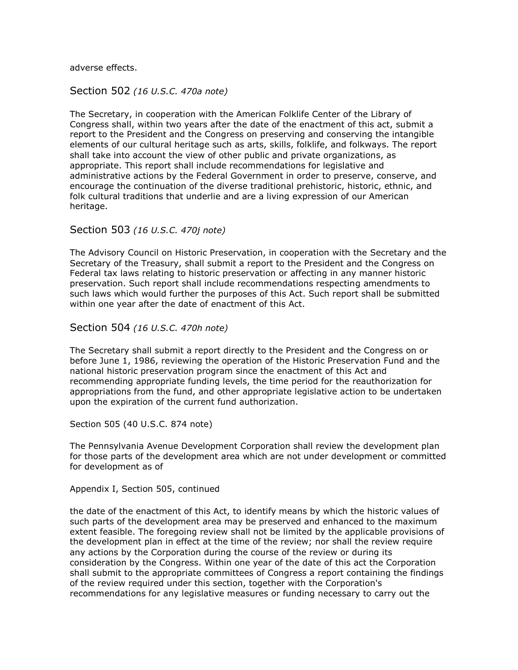adverse effects.

Section 502 *(16 U.S.C. 470a note)*

The Secretary, in cooperation with the American Folklife Center of the Library of Congress shall, within two years after the date of the enactment of this act, submit a report to the President and the Congress on preserving and conserving the intangible elements of our cultural heritage such as arts, skills, folklife, and folkways. The report shall take into account the view of other public and private organizations, as appropriate. This report shall include recommendations for legislative and administrative actions by the Federal Government in order to preserve, conserve, and encourage the continuation of the diverse traditional prehistoric, historic, ethnic, and folk cultural traditions that underlie and are a living expression of our American heritage.

Section 503 *(16 U.S.C. 470j note)*

The Advisory Council on Historic Preservation, in cooperation with the Secretary and the Secretary of the Treasury, shall submit a report to the President and the Congress on Federal tax laws relating to historic preservation or affecting in any manner historic preservation. Such report shall include recommendations respecting amendments to such laws which would further the purposes of this Act. Such report shall be submitted within one year after the date of enactment of this Act.

Section 504 *(16 U.S.C. 470h note)*

The Secretary shall submit a report directly to the President and the Congress on or before June 1, 1986, reviewing the operation of the Historic Preservation Fund and the national historic preservation program since the enactment of this Act and recommending appropriate funding levels, the time period for the reauthorization for appropriations from the fund, and other appropriate legislative action to be undertaken upon the expiration of the current fund authorization.

Section 505 (40 U.S.C. 874 note)

The Pennsylvania Avenue Development Corporation shall review the development plan for those parts of the development area which are not under development or committed for development as of

Appendix I, Section 505, continued

the date of the enactment of this Act, to identify means by which the historic values of such parts of the development area may be preserved and enhanced to the maximum extent feasible. The foregoing review shall not be limited by the applicable provisions of the development plan in effect at the time of the review; nor shall the review require any actions by the Corporation during the course of the review or during its consideration by the Congress. Within one year of the date of this act the Corporation shall submit to the appropriate committees of Congress a report containing the findings of the review required under this section, together with the Corporation's recommendations for any legislative measures or funding necessary to carry out the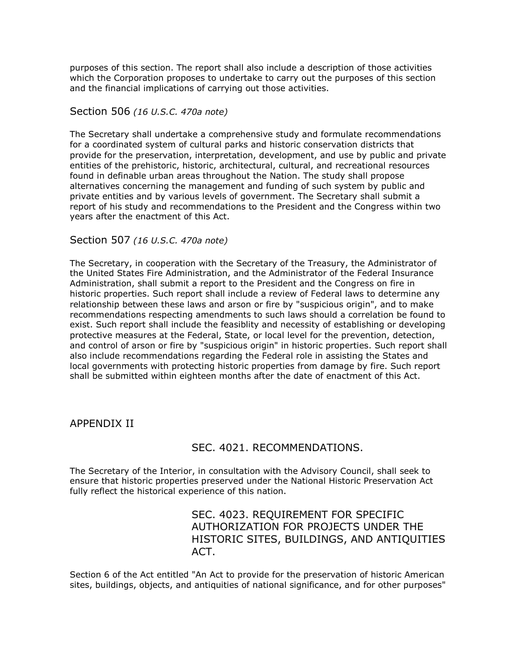purposes of this section. The report shall also include a description of those activities which the Corporation proposes to undertake to carry out the purposes of this section and the financial implications of carrying out those activities.

#### Section 506 *(16 U.S.C. 470a note)*

The Secretary shall undertake a comprehensive study and formulate recommendations for a coordinated system of cultural parks and historic conservation districts that provide for the preservation, interpretation, development, and use by public and private entities of the prehistoric, historic, architectural, cultural, and recreational resources found in definable urban areas throughout the Nation. The study shall propose alternatives concerning the management and funding of such system by public and private entities and by various levels of government. The Secretary shall submit a report of his study and recommendations to the President and the Congress within two years after the enactment of this Act.

#### Section 507 *(16 U.S.C. 470a note)*

The Secretary, in cooperation with the Secretary of the Treasury, the Administrator of the United States Fire Administration, and the Administrator of the Federal Insurance Administration, shall submit a report to the President and the Congress on fire in historic properties. Such report shall include a review of Federal laws to determine any relationship between these laws and arson or fire by "suspicious origin", and to make recommendations respecting amendments to such laws should a correlation be found to exist. Such report shall include the feasiblity and necessity of establishing or developing protective measures at the Federal, State, or local level for the prevention, detection, and control of arson or fire by "suspicious origin" in historic properties. Such report shall also include recommendations regarding the Federal role in assisting the States and local governments with protecting historic properties from damage by fire. Such report shall be submitted within eighteen months after the date of enactment of this Act.

## APPENDIX II

## SEC. 4021. RECOMMENDATIONS.

The Secretary of the Interior, in consultation with the Advisory Council, shall seek to ensure that historic properties preserved under the National Historic Preservation Act fully reflect the historical experience of this nation.

# SEC. 4023. REQUIREMENT FOR SPECIFIC AUTHORIZATION FOR PROJECTS UNDER THE HISTORIC SITES, BUILDINGS, AND ANTIQUITIES ACT.

Section 6 of the Act entitled "An Act to provide for the preservation of historic American sites, buildings, objects, and antiquities of national significance, and for other purposes"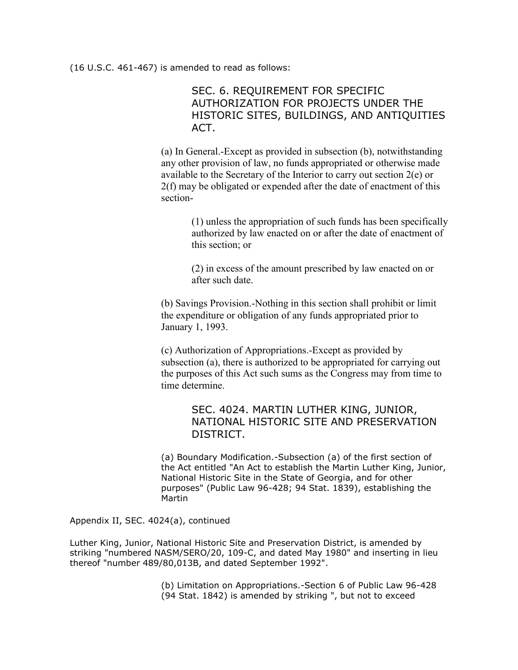(16 U.S.C. 461-467) is amended to read as follows:

SEC. 6. REQUIREMENT FOR SPECIFIC AUTHORIZATION FOR PROJECTS UNDER THE HISTORIC SITES, BUILDINGS, AND ANTIQUITIES ACT.

(a) In General.-Except as provided in subsection (b), notwithstanding any other provision of law, no funds appropriated or otherwise made available to the Secretary of the Interior to carry out section 2(e) or 2(f) may be obligated or expended after the date of enactment of this section-

> (1) unless the appropriation of such funds has been specifically authorized by law enacted on or after the date of enactment of this section; or

(2) in excess of the amount prescribed by law enacted on or after such date.

(b) Savings Provision.-Nothing in this section shall prohibit or limit the expenditure or obligation of any funds appropriated prior to January 1, 1993.

(c) Authorization of Appropriations.-Except as provided by subsection (a), there is authorized to be appropriated for carrying out the purposes of this Act such sums as the Congress may from time to time determine.

# SEC. 4024. MARTIN LUTHER KING, JUNIOR, NATIONAL HISTORIC SITE AND PRESERVATION DISTRICT.

(a) Boundary Modification.-Subsection (a) of the first section of the Act entitled "An Act to establish the Martin Luther King, Junior, National Historic Site in the State of Georgia, and for other purposes" (Public Law 96-428; 94 Stat. 1839), establishing the Martin

Appendix II, SEC. 4024(a), continued

Luther King, Junior, National Historic Site and Preservation District, is amended by striking "numbered NASM/SERO/20, 109-C, and dated May 1980" and inserting in lieu thereof "number 489/80,013B, and dated September 1992".

> (b) Limitation on Appropriations.-Section 6 of Public Law 96-428 (94 Stat. 1842) is amended by striking ", but not to exceed